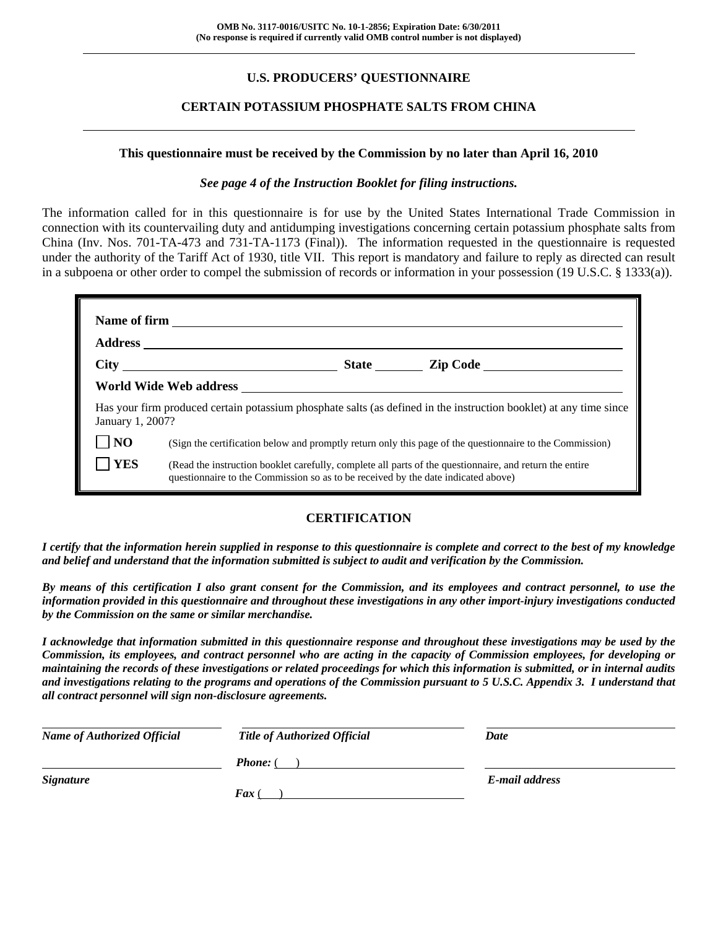## **U.S. PRODUCERS' QUESTIONNAIRE**

## **CERTAIN POTASSIUM PHOSPHATE SALTS FROM CHINA**

#### **This questionnaire must be received by the Commission by no later than April 16, 2010**

#### *See page 4 of the Instruction Booklet for filing instructions.*

The information called for in this questionnaire is for use by the United States International Trade Commission in connection with its countervailing duty and antidumping investigations concerning certain potassium phosphate salts from China (Inv. Nos. 701-TA-473 and 731-TA-1173 (Final)). The information requested in the questionnaire is requested under the authority of the Tariff Act of 1930, title VII. This report is mandatory and failure to reply as directed can result in a subpoena or other order to compel the submission of records or information in your possession (19 U.S.C. § 1333(a)).

|                | Has your firm produced certain potassium phosphate salts (as defined in the instruction booklet) at any time since<br>January 1, 2007?                                                       |  |  |  |  |  |  |  |
|----------------|----------------------------------------------------------------------------------------------------------------------------------------------------------------------------------------------|--|--|--|--|--|--|--|
| N <sub>O</sub> | (Sign the certification below and promptly return only this page of the questionnaire to the Commission)                                                                                     |  |  |  |  |  |  |  |
| <b>YES</b>     | (Read the instruction booklet carefully, complete all parts of the questionnaire, and return the entire<br>questionnaire to the Commission so as to be received by the date indicated above) |  |  |  |  |  |  |  |

## **CERTIFICATION**

*I certify that the information herein supplied in response to this questionnaire is complete and correct to the best of my knowledge and belief and understand that the information submitted is subject to audit and verification by the Commission.* 

*By means of this certification I also grant consent for the Commission, and its employees and contract personnel, to use the information provided in this questionnaire and throughout these investigations in any other import-injury investigations conducted by the Commission on the same or similar merchandise.* 

*I acknowledge that information submitted in this questionnaire response and throughout these investigations may be used by the Commission, its employees, and contract personnel who are acting in the capacity of Commission employees, for developing or maintaining the records of these investigations or related proceedings for which this information is submitted, or in internal audits and investigations relating to the programs and operations of the Commission pursuant to 5 U.S.C. Appendix 3. I understand that all contract personnel will sign non-disclosure agreements.* 

| <b>Name of Authorized Official</b> | <b>Title of Authorized Official</b> | Date           |
|------------------------------------|-------------------------------------|----------------|
|                                    | <b>Phone:</b> (                     |                |
| <b>Signature</b>                   |                                     | E-mail address |
|                                    | $\boldsymbol{F}$ ax (               |                |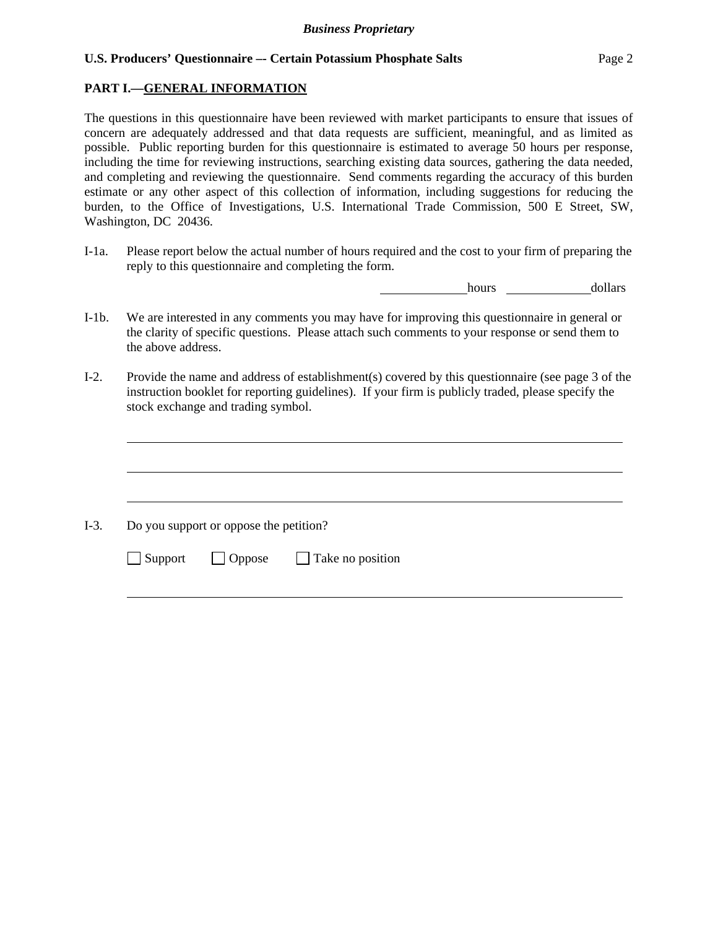## **PART I.—GENERAL INFORMATION**

 $\overline{a}$ 

 $\overline{a}$ 

l

The questions in this questionnaire have been reviewed with market participants to ensure that issues of concern are adequately addressed and that data requests are sufficient, meaningful, and as limited as possible. Public reporting burden for this questionnaire is estimated to average 50 hours per response, including the time for reviewing instructions, searching existing data sources, gathering the data needed, and completing and reviewing the questionnaire. Send comments regarding the accuracy of this burden estimate or any other aspect of this collection of information, including suggestions for reducing the burden, to the Office of Investigations, U.S. International Trade Commission, 500 E Street, SW, Washington, DC 20436.

I-1a. Please report below the actual number of hours required and the cost to your firm of preparing the reply to this questionnaire and completing the form.

hours hours dollars

- I-1b. We are interested in any comments you may have for improving this questionnaire in general or the clarity of specific questions. Please attach such comments to your response or send them to the above address.
- I-2. Provide the name and address of establishment(s) covered by this questionnaire (see page 3 of the instruction booklet for reporting guidelines). If your firm is publicly traded, please specify the stock exchange and trading symbol.

 $\overline{a}$ I-3. Do you support or oppose the petition?  $\Box$  Support  $\Box$  Oppose  $\Box$  Take no position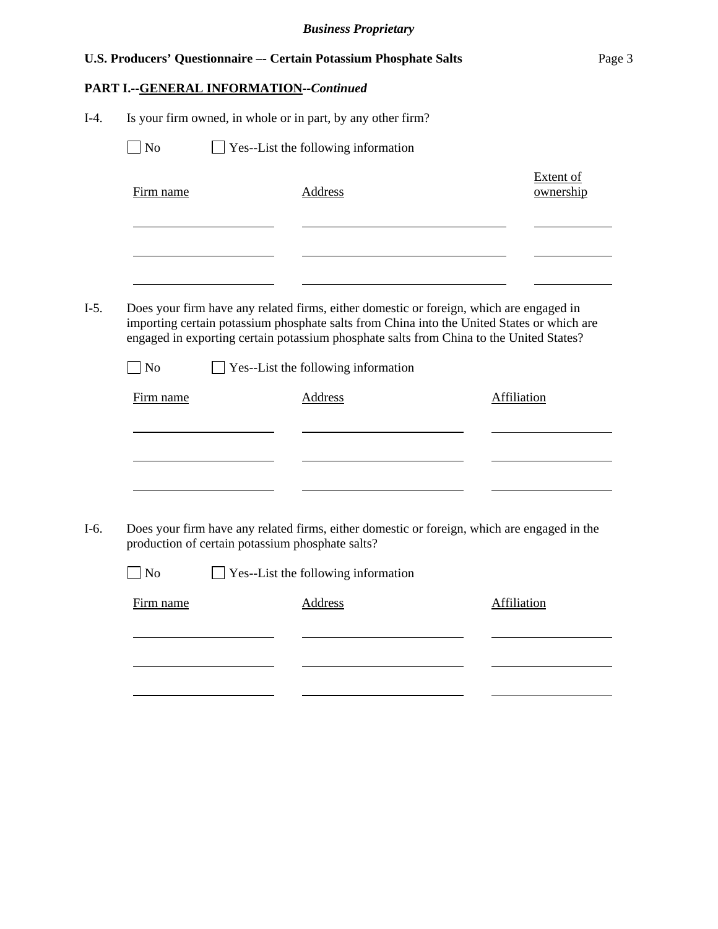|        |           |                                                  | U.S. Producers' Questionnaire -- Certain Potassium Phosphate Salts                                                                                                                                                                                                               | Page 3                        |  |
|--------|-----------|--------------------------------------------------|----------------------------------------------------------------------------------------------------------------------------------------------------------------------------------------------------------------------------------------------------------------------------------|-------------------------------|--|
|        |           | PART I .-- GENERAL INFORMATION--Continued        |                                                                                                                                                                                                                                                                                  |                               |  |
| $I-4.$ |           |                                                  | Is your firm owned, in whole or in part, by any other firm?                                                                                                                                                                                                                      |                               |  |
|        | $\Box$ No |                                                  | Yes--List the following information                                                                                                                                                                                                                                              |                               |  |
|        | Firm name |                                                  | <b>Address</b>                                                                                                                                                                                                                                                                   | <b>Extent of</b><br>ownership |  |
| $I-5.$ |           |                                                  | Does your firm have any related firms, either domestic or foreign, which are engaged in<br>importing certain potassium phosphate salts from China into the United States or which are<br>engaged in exporting certain potassium phosphate salts from China to the United States? |                               |  |
|        | <b>No</b> |                                                  | $\Box$ Yes--List the following information                                                                                                                                                                                                                                       |                               |  |
|        | Firm name |                                                  | <b>Address</b>                                                                                                                                                                                                                                                                   | <b>Affiliation</b>            |  |
| $I-6.$ |           | production of certain potassium phosphate salts? | Does your firm have any related firms, either domestic or foreign, which are engaged in the<br>$\Box$ No $\Box$ Yes--List the following information                                                                                                                              |                               |  |
|        | Firm name |                                                  | <b>Address</b>                                                                                                                                                                                                                                                                   | Affiliation                   |  |
|        |           |                                                  |                                                                                                                                                                                                                                                                                  |                               |  |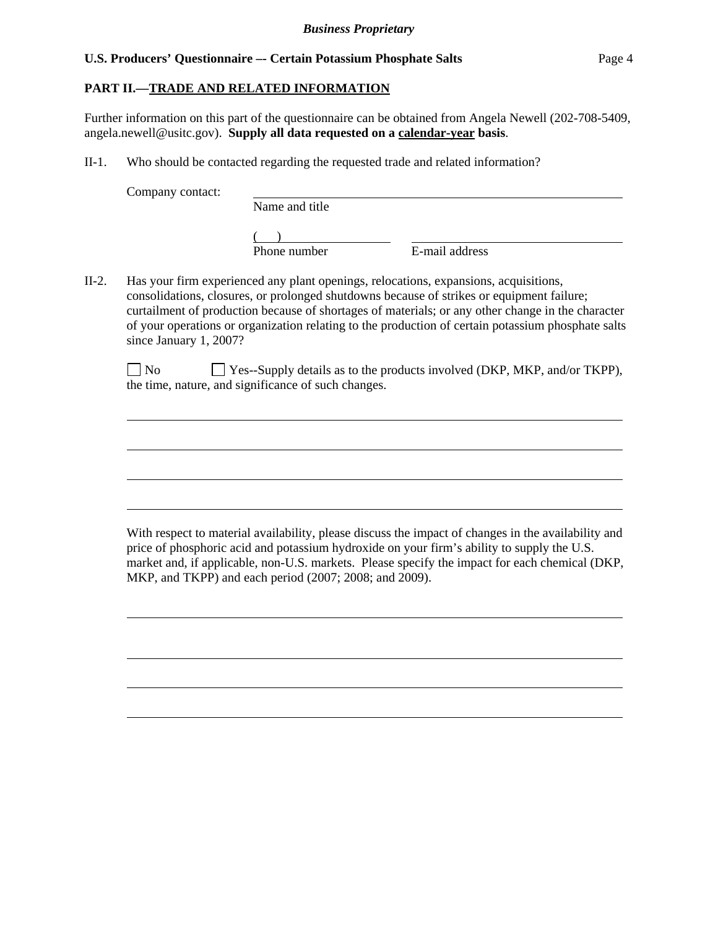## **PART II.—TRADE AND RELATED INFORMATION**

Further information on this part of the questionnaire can be obtained from Angela Newell (202-708-5409, angela.newell@usitc.gov). **Supply all data requested on a calendar-year basis**.

II-1. Who should be contacted regarding the requested trade and related information?

Company contact:

 $\overline{a}$ 

 $\overline{a}$ 

 $\overline{a}$ 

 $\overline{a}$ 

 $\overline{a}$ 

 $\overline{a}$ 

 $\overline{a}$ 

 $\overline{a}$ 

Name and title

 $($ 

Phone number E-mail address

II-2. Has your firm experienced any plant openings, relocations, expansions, acquisitions, consolidations, closures, or prolonged shutdowns because of strikes or equipment failure; curtailment of production because of shortages of materials; or any other change in the character of your operations or organization relating to the production of certain potassium phosphate salts since January 1, 2007?

| $\Box$ No | $\Box$ Yes--Supply details as to the products involved (DKP, MKP, and/or TKPP), |
|-----------|---------------------------------------------------------------------------------|
|           | the time, nature, and significance of such changes.                             |

With respect to material availability, please discuss the impact of changes in the availability and price of phosphoric acid and potassium hydroxide on your firm's ability to supply the U.S. market and, if applicable, non-U.S. markets. Please specify the impact for each chemical (DKP, MKP, and TKPP) and each period (2007; 2008; and 2009).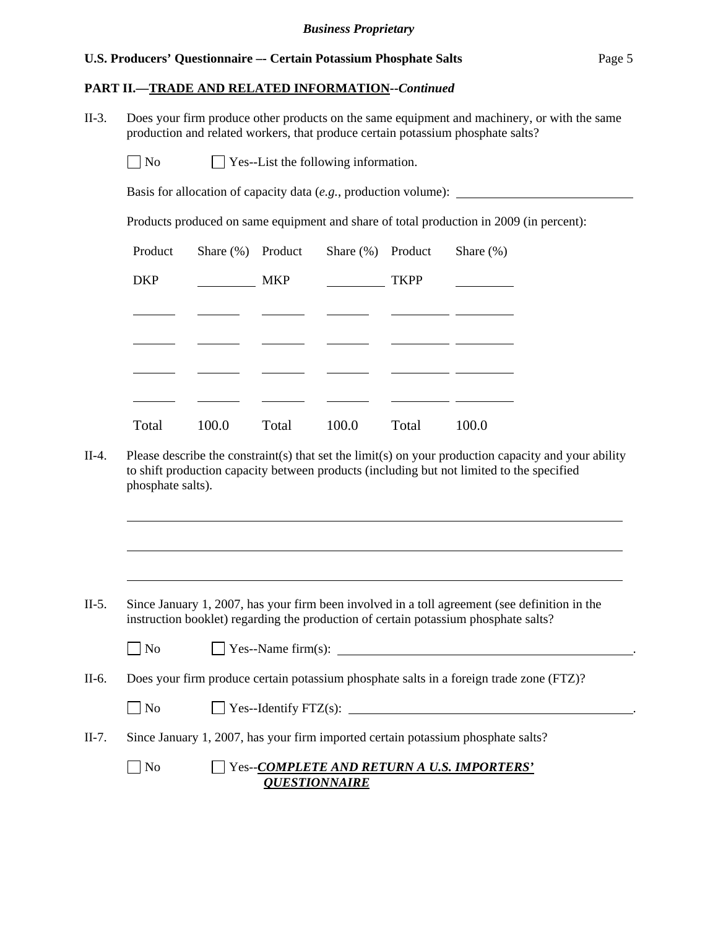#### **PART II.—TRADE AND RELATED INFORMATION--***Continued*

II-3. Does your firm produce other products on the same equipment and machinery, or with the same production and related workers, that produce certain potassium phosphate salts?

 $\Box$  No  $\Box$  Yes--List the following information.

Basis for allocation of capacity data (*e.g.*, production volume):

Products produced on same equipment and share of total production in 2009 (in percent):

| Product    |       | Share $(\%)$ Product | Share $(\%)$ Product |             | Share $(\%)$ |
|------------|-------|----------------------|----------------------|-------------|--------------|
| <b>DKP</b> |       | <b>MKP</b>           |                      | <b>TKPP</b> |              |
|            |       |                      |                      |             |              |
|            |       |                      |                      |             |              |
|            |       |                      |                      |             |              |
|            |       |                      |                      |             |              |
| Total      | 100.0 | Total                | 100.0                | Total       | 100.0        |

II-4. Please describe the constraint(s) that set the limit(s) on your production capacity and your ability to shift production capacity between products (including but not limited to the specified phosphate salts).

II-5. Since January 1, 2007, has your firm been involved in a toll agreement (see definition in the instruction booklet) regarding the production of certain potassium phosphate salts?

l

 $\overline{a}$ 

 $\overline{a}$ 

 $\Box$  Yes--Name firm(s):  $\Box$ 

II-6. Does your firm produce certain potassium phosphate salts in a foreign trade zone (FTZ)?

 $\Box$  No  $\Box$  Yes--Identify FTZ(s):  $\Box$ 

- II-7. Since January 1, 2007, has your firm imported certain potassium phosphate salts?
	-

 No Yes--*COMPLETE AND RETURN A U.S. IMPORTERS' QUESTIONNAIRE*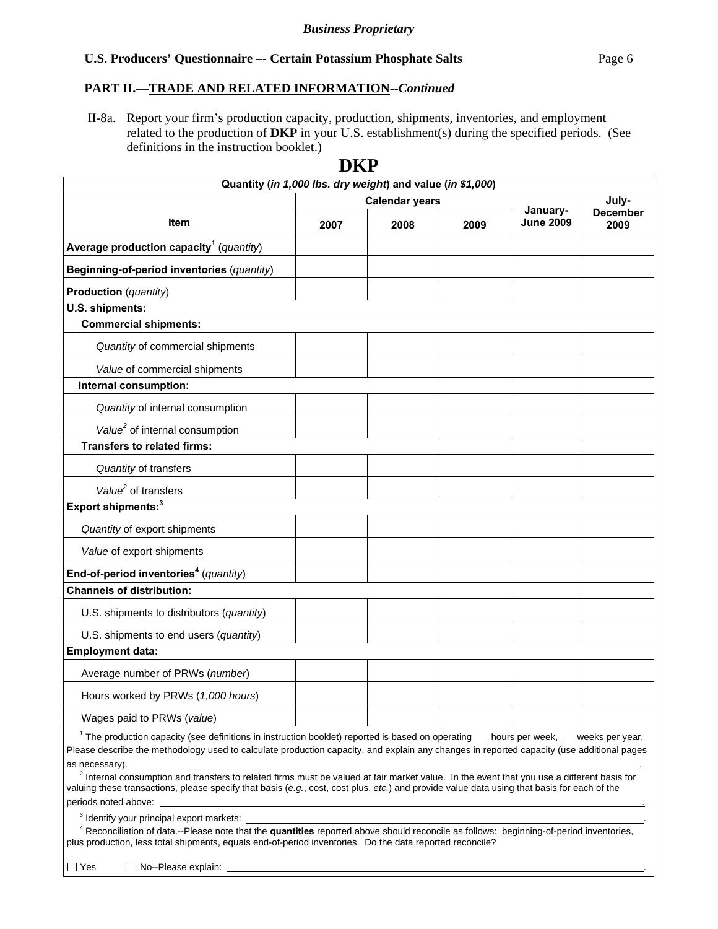## **PART II.—TRADE AND RELATED INFORMATION--***Continued*

 II-8a. Report your firm's production capacity, production, shipments, inventories, and employment related to the production of **DKP** in your U.S. establishment(s) during the specified periods. (See definitions in the instruction booklet.)

|                                                                                                                                                                                                                                                                                                                        | DKP                                                        |      |      |                  |                         |
|------------------------------------------------------------------------------------------------------------------------------------------------------------------------------------------------------------------------------------------------------------------------------------------------------------------------|------------------------------------------------------------|------|------|------------------|-------------------------|
|                                                                                                                                                                                                                                                                                                                        | Quantity (in 1,000 lbs. dry weight) and value (in \$1,000) |      |      |                  |                         |
|                                                                                                                                                                                                                                                                                                                        | <b>Calendar years</b>                                      |      |      | January-         | July-                   |
| Item                                                                                                                                                                                                                                                                                                                   | 2007                                                       | 2008 | 2009 | <b>June 2009</b> | <b>December</b><br>2009 |
| Average production capacity <sup>1</sup> (quantity)                                                                                                                                                                                                                                                                    |                                                            |      |      |                  |                         |
| Beginning-of-period inventories (quantity)                                                                                                                                                                                                                                                                             |                                                            |      |      |                  |                         |
| <b>Production</b> (quantity)                                                                                                                                                                                                                                                                                           |                                                            |      |      |                  |                         |
| U.S. shipments:                                                                                                                                                                                                                                                                                                        |                                                            |      |      |                  |                         |
| <b>Commercial shipments:</b>                                                                                                                                                                                                                                                                                           |                                                            |      |      |                  |                         |
| Quantity of commercial shipments                                                                                                                                                                                                                                                                                       |                                                            |      |      |                  |                         |
| Value of commercial shipments                                                                                                                                                                                                                                                                                          |                                                            |      |      |                  |                         |
| Internal consumption:                                                                                                                                                                                                                                                                                                  |                                                            |      |      |                  |                         |
| Quantity of internal consumption                                                                                                                                                                                                                                                                                       |                                                            |      |      |                  |                         |
| Value <sup>2</sup> of internal consumption                                                                                                                                                                                                                                                                             |                                                            |      |      |                  |                         |
| <b>Transfers to related firms:</b>                                                                                                                                                                                                                                                                                     |                                                            |      |      |                  |                         |
| Quantity of transfers                                                                                                                                                                                                                                                                                                  |                                                            |      |      |                  |                         |
| Value <sup>2</sup> of transfers                                                                                                                                                                                                                                                                                        |                                                            |      |      |                  |                         |
| Export shipments: <sup>3</sup>                                                                                                                                                                                                                                                                                         |                                                            |      |      |                  |                         |
| Quantity of export shipments                                                                                                                                                                                                                                                                                           |                                                            |      |      |                  |                         |
| Value of export shipments                                                                                                                                                                                                                                                                                              |                                                            |      |      |                  |                         |
| End-of-period inventories <sup>4</sup> (quantity)                                                                                                                                                                                                                                                                      |                                                            |      |      |                  |                         |
| <b>Channels of distribution:</b>                                                                                                                                                                                                                                                                                       |                                                            |      |      |                  |                         |
| U.S. shipments to distributors (quantity)                                                                                                                                                                                                                                                                              |                                                            |      |      |                  |                         |
| U.S. shipments to end users (quantity)                                                                                                                                                                                                                                                                                 |                                                            |      |      |                  |                         |
| <b>Employment data:</b>                                                                                                                                                                                                                                                                                                |                                                            |      |      |                  |                         |
| Average number of PRWs (number)                                                                                                                                                                                                                                                                                        |                                                            |      |      |                  |                         |
| Hours worked by PRWs (1,000 hours)                                                                                                                                                                                                                                                                                     |                                                            |      |      |                  |                         |
| Wages paid to PRWs (value)                                                                                                                                                                                                                                                                                             |                                                            |      |      |                  |                         |
| <sup>1</sup> The production capacity (see definitions in instruction booklet) reported is based on operating hours per week, weeks per year.                                                                                                                                                                           |                                                            |      |      |                  |                         |
| Please describe the methodology used to calculate production capacity, and explain any changes in reported capacity (use additional pages                                                                                                                                                                              |                                                            |      |      |                  |                         |
| as necessary).<br><sup>2</sup> Internal consumption and transfers to related firms must be valued at fair market value. In the event that you use a different basis for<br>valuing these transactions, please specify that basis (e.g., cost, cost plus, etc.) and provide value data using that basis for each of the |                                                            |      |      |                  |                         |
| periods noted above:                                                                                                                                                                                                                                                                                                   |                                                            |      |      |                  |                         |
| $3$ Identify your principal export markets: $\overline{\phantom{a}}$                                                                                                                                                                                                                                                   |                                                            |      |      |                  |                         |
| <sup>4</sup> Reconciliation of data.--Please note that the quantities reported above should reconcile as follows: beginning-of-period inventories,<br>plus production, less total shipments, equals end-of-period inventories. Do the data reported reconcile?                                                         |                                                            |      |      |                  |                         |

 $\Box$  Yes  $\Box$  No--Please explain: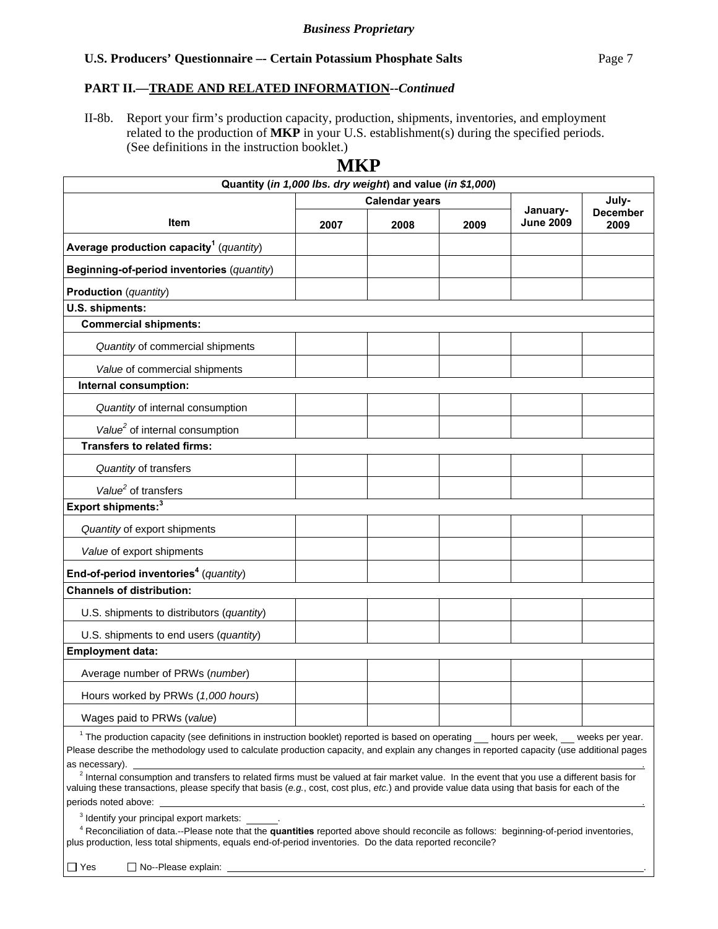## **PART II.—TRADE AND RELATED INFORMATION--***Continued*

II-8b. Report your firm's production capacity, production, shipments, inventories, and employment related to the production of **MKP** in your U.S. establishment(s) during the specified periods. (See definitions in the instruction booklet.)

| Quantity (in 1,000 lbs. dry weight) and value (in \$1,000)                                                                                                                                                                                                                                                                                                                                                                                                           |      |                       |      |                              |                         |
|----------------------------------------------------------------------------------------------------------------------------------------------------------------------------------------------------------------------------------------------------------------------------------------------------------------------------------------------------------------------------------------------------------------------------------------------------------------------|------|-----------------------|------|------------------------------|-------------------------|
|                                                                                                                                                                                                                                                                                                                                                                                                                                                                      |      | <b>Calendar years</b> |      | July-                        |                         |
| Item                                                                                                                                                                                                                                                                                                                                                                                                                                                                 | 2007 | 2008                  | 2009 | January-<br><b>June 2009</b> | <b>December</b><br>2009 |
| Average production capacity <sup>1</sup> (quantity)                                                                                                                                                                                                                                                                                                                                                                                                                  |      |                       |      |                              |                         |
| Beginning-of-period inventories (quantity)                                                                                                                                                                                                                                                                                                                                                                                                                           |      |                       |      |                              |                         |
| Production (quantity)                                                                                                                                                                                                                                                                                                                                                                                                                                                |      |                       |      |                              |                         |
| U.S. shipments:                                                                                                                                                                                                                                                                                                                                                                                                                                                      |      |                       |      |                              |                         |
| <b>Commercial shipments:</b>                                                                                                                                                                                                                                                                                                                                                                                                                                         |      |                       |      |                              |                         |
| Quantity of commercial shipments                                                                                                                                                                                                                                                                                                                                                                                                                                     |      |                       |      |                              |                         |
| Value of commercial shipments                                                                                                                                                                                                                                                                                                                                                                                                                                        |      |                       |      |                              |                         |
| Internal consumption:                                                                                                                                                                                                                                                                                                                                                                                                                                                |      |                       |      |                              |                         |
| Quantity of internal consumption                                                                                                                                                                                                                                                                                                                                                                                                                                     |      |                       |      |                              |                         |
| Value <sup>2</sup> of internal consumption                                                                                                                                                                                                                                                                                                                                                                                                                           |      |                       |      |                              |                         |
| <b>Transfers to related firms:</b>                                                                                                                                                                                                                                                                                                                                                                                                                                   |      |                       |      |                              |                         |
| Quantity of transfers                                                                                                                                                                                                                                                                                                                                                                                                                                                |      |                       |      |                              |                         |
| Value <sup>2</sup> of transfers                                                                                                                                                                                                                                                                                                                                                                                                                                      |      |                       |      |                              |                         |
| Export shipments: <sup>3</sup>                                                                                                                                                                                                                                                                                                                                                                                                                                       |      |                       |      |                              |                         |
| Quantity of export shipments                                                                                                                                                                                                                                                                                                                                                                                                                                         |      |                       |      |                              |                         |
| Value of export shipments                                                                                                                                                                                                                                                                                                                                                                                                                                            |      |                       |      |                              |                         |
| End-of-period inventories <sup>4</sup> (quantity)                                                                                                                                                                                                                                                                                                                                                                                                                    |      |                       |      |                              |                         |
| <b>Channels of distribution:</b>                                                                                                                                                                                                                                                                                                                                                                                                                                     |      |                       |      |                              |                         |
| U.S. shipments to distributors (quantity)                                                                                                                                                                                                                                                                                                                                                                                                                            |      |                       |      |                              |                         |
| U.S. shipments to end users (quantity)                                                                                                                                                                                                                                                                                                                                                                                                                               |      |                       |      |                              |                         |
| <b>Employment data:</b>                                                                                                                                                                                                                                                                                                                                                                                                                                              |      |                       |      |                              |                         |
| Average number of PRWs (number)                                                                                                                                                                                                                                                                                                                                                                                                                                      |      |                       |      |                              |                         |
| Hours worked by PRWs (1,000 hours)                                                                                                                                                                                                                                                                                                                                                                                                                                   |      |                       |      |                              |                         |
| Wages paid to PRWs (value)                                                                                                                                                                                                                                                                                                                                                                                                                                           |      |                       |      |                              |                         |
| <sup>1</sup> The production capacity (see definitions in instruction booklet) reported is based on operating hours per week, weeks per year.<br>Please describe the methodology used to calculate production capacity, and explain any changes in reported capacity (use additional pages<br>as necessary).<br><sup>2</sup> Internal consumption and transfers to related firms must be valued at fair market value. In the event that you use a different basis for |      |                       |      |                              |                         |
| valuing these transactions, please specify that basis (e.g., cost, cost plus, etc.) and provide value data using that basis for each of the<br>periods noted above:                                                                                                                                                                                                                                                                                                  |      |                       |      |                              |                         |

 $3$  Identify your principal export markets:  $\qquad \qquad$ .

 <sup>4</sup> Reconciliation of data.--Please note that the **quantities** reported above should reconcile as follows: beginning-of-period inventories, plus production, less total shipments, equals end-of-period inventories. Do the data reported reconcile?

 $\Box$  Yes  $\Box$  No--Please explain:

# **MKP**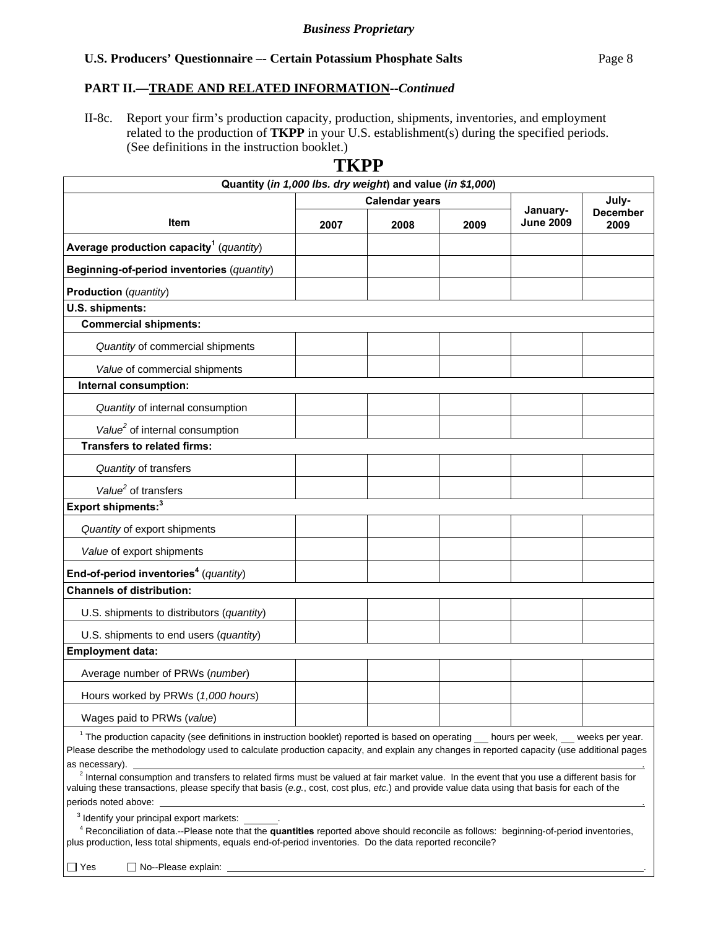## **PART II.—TRADE AND RELATED INFORMATION--***Continued*

II-8c. Report your firm's production capacity, production, shipments, inventories, and employment related to the production of **TKPP** in your U.S. establishment(s) during the specified periods. (See definitions in the instruction booklet.)

**TKPP** 

|                                                                                                                                              | 1 I.V I               |      |      |                                 |                         |  |
|----------------------------------------------------------------------------------------------------------------------------------------------|-----------------------|------|------|---------------------------------|-------------------------|--|
| Quantity (in 1,000 lbs. dry weight) and value (in \$1,000)                                                                                   |                       |      |      |                                 |                         |  |
|                                                                                                                                              | <b>Calendar years</b> |      |      | January-                        | July-                   |  |
| Item                                                                                                                                         | 2007                  | 2008 | 2009 | <b>June 2009</b>                | <b>December</b><br>2009 |  |
| Average production capacity <sup>1</sup> (quantity)                                                                                          |                       |      |      |                                 |                         |  |
| Beginning-of-period inventories (quantity)                                                                                                   |                       |      |      |                                 |                         |  |
| Production (quantity)                                                                                                                        |                       |      |      |                                 |                         |  |
| U.S. shipments:                                                                                                                              |                       |      |      |                                 |                         |  |
| <b>Commercial shipments:</b>                                                                                                                 |                       |      |      |                                 |                         |  |
| Quantity of commercial shipments                                                                                                             |                       |      |      |                                 |                         |  |
| Value of commercial shipments                                                                                                                |                       |      |      |                                 |                         |  |
| Internal consumption:                                                                                                                        |                       |      |      |                                 |                         |  |
| Quantity of internal consumption                                                                                                             |                       |      |      |                                 |                         |  |
| Value <sup>2</sup> of internal consumption                                                                                                   |                       |      |      |                                 |                         |  |
| <b>Transfers to related firms:</b>                                                                                                           |                       |      |      |                                 |                         |  |
| Quantity of transfers                                                                                                                        |                       |      |      |                                 |                         |  |
| Value <sup>2</sup> of transfers                                                                                                              |                       |      |      |                                 |                         |  |
| Export shipments: <sup>3</sup>                                                                                                               |                       |      |      |                                 |                         |  |
| Quantity of export shipments                                                                                                                 |                       |      |      |                                 |                         |  |
| Value of export shipments                                                                                                                    |                       |      |      |                                 |                         |  |
| End-of-period inventories <sup>4</sup> (quantity)                                                                                            |                       |      |      |                                 |                         |  |
| <b>Channels of distribution:</b>                                                                                                             |                       |      |      |                                 |                         |  |
| U.S. shipments to distributors (quantity)                                                                                                    |                       |      |      |                                 |                         |  |
| U.S. shipments to end users (quantity)                                                                                                       |                       |      |      |                                 |                         |  |
| <b>Employment data:</b>                                                                                                                      |                       |      |      |                                 |                         |  |
| Average number of PRWs (number)                                                                                                              |                       |      |      |                                 |                         |  |
| Hours worked by PRWs (1,000 hours)                                                                                                           |                       |      |      |                                 |                         |  |
| Wages paid to PRWs (value)                                                                                                                   |                       |      |      |                                 |                         |  |
| <sup>1</sup> The production capacity (see definitions in instruction booklet) reported is based on operating                                 |                       |      |      | hours per week, weeks per year. |                         |  |
| Please describe the methodology used to calculate production capacity, and explain any changes in reported capacity (use additional pages    |                       |      |      |                                 |                         |  |
| as necessary).                                                                                                                               |                       |      |      |                                 |                         |  |
| $2$ Internal consumption and transfers to related firms must be valued at fair market value. In the event that you use a different basis for |                       |      |      |                                 |                         |  |

# valuing these transactions, please specify that basis (*e.g.*, cost, cost plus, *etc.*) and provide value data using that basis for each of the periods noted above:

 $3$  Identify your principal export markets:  $\qquad \qquad$ .

 <sup>4</sup> Reconciliation of data.--Please note that the **quantities** reported above should reconcile as follows: beginning-of-period inventories, plus production, less total shipments, equals end-of-period inventories. Do the data reported reconcile?

 $\Box$  Yes  $\Box$  No--Please explain: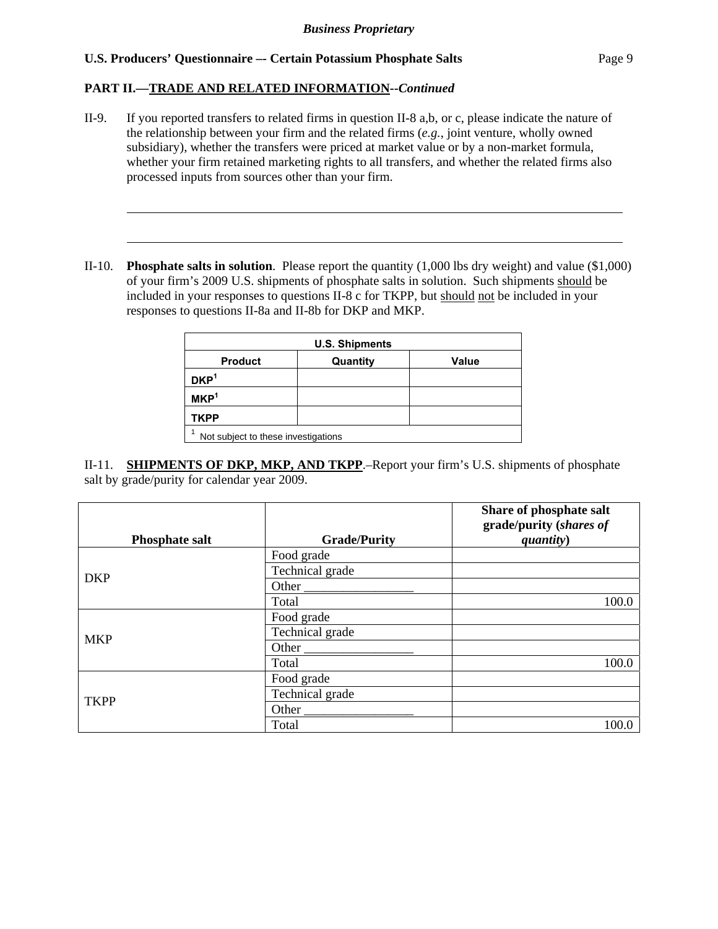## **PART II.—TRADE AND RELATED INFORMATION--***Continued*

l

 $\overline{a}$ 

- II-9. If you reported transfers to related firms in question II-8 a,b, or c, please indicate the nature of the relationship between your firm and the related firms (*e.g.*, joint venture, wholly owned subsidiary), whether the transfers were priced at market value or by a non-market formula, whether your firm retained marketing rights to all transfers, and whether the related firms also processed inputs from sources other than your firm.
- II-10. **Phosphate salts in solution**. Please report the quantity (1,000 lbs dry weight) and value (\$1,000) of your firm's 2009 U.S. shipments of phosphate salts in solution. Such shipments should be included in your responses to questions II-8 c for TKPP, but should not be included in your responses to questions II-8a and II-8b for DKP and MKP.

| <b>U.S. Shipments</b>               |          |              |  |  |  |  |
|-------------------------------------|----------|--------------|--|--|--|--|
| <b>Product</b>                      | Quantity | <b>Value</b> |  |  |  |  |
| DKP <sup>1</sup>                    |          |              |  |  |  |  |
| MKP <sup>1</sup>                    |          |              |  |  |  |  |
| <b>TKPP</b>                         |          |              |  |  |  |  |
| Not subject to these investigations |          |              |  |  |  |  |

II-11. **SHIPMENTS OF DKP, MKP, AND TKPP**.–Report your firm's U.S. shipments of phosphate salt by grade/purity for calendar year 2009.

|                       |                                | Share of phosphate salt<br>grade/purity (shares of |
|-----------------------|--------------------------------|----------------------------------------------------|
| <b>Phosphate salt</b> | <b>Grade/Purity</b>            | quantity)                                          |
|                       | Food grade                     |                                                    |
| <b>DKP</b>            | Technical grade                |                                                    |
|                       | Other $\_\_$                   |                                                    |
|                       | Total                          | 100.0                                              |
|                       | Food grade                     |                                                    |
| <b>MKP</b>            | Technical grade                |                                                    |
|                       | Other $\overline{\phantom{a}}$ |                                                    |
|                       | Total                          | 100.0                                              |
|                       | Food grade                     |                                                    |
| <b>TKPP</b>           | Technical grade                |                                                    |
|                       | Other                          |                                                    |
|                       | Total                          | 100.0                                              |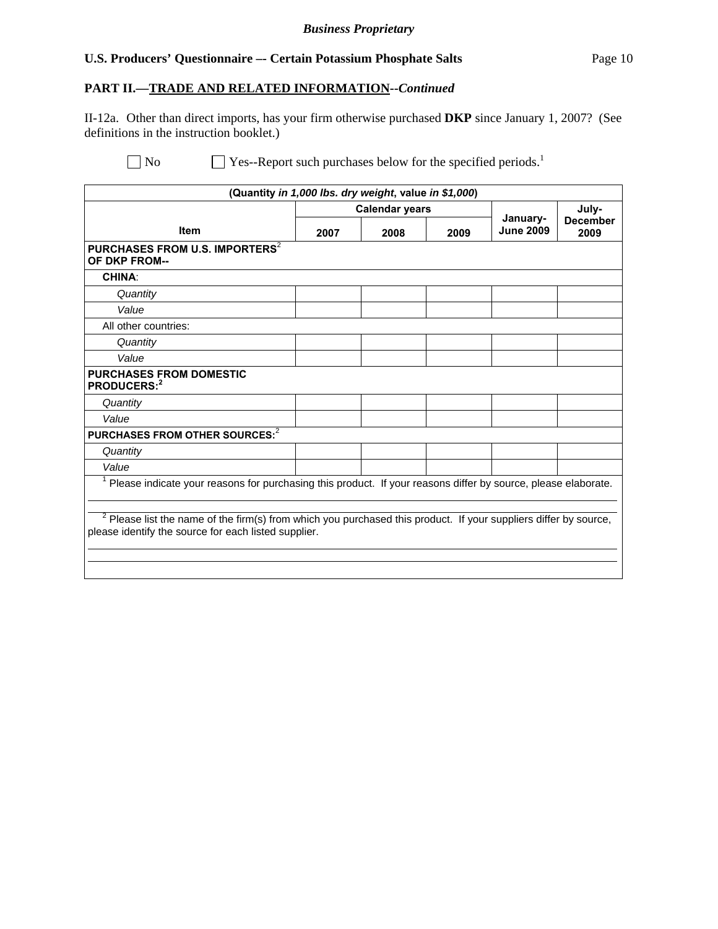## **PART II.—TRADE AND RELATED INFORMATION--***Continued*

II-12a. Other than direct imports, has your firm otherwise purchased **DKP** since January 1, 2007? (See definitions in the instruction booklet.)

 $\Box$  No  $\Box$  Yes--Report such purchases below for the specified periods.<sup>1</sup>

| (Quantity in 1,000 lbs. dry weight, value in \$1,000)                                                                                                                      |                       |      |      |                              |                         |  |  |
|----------------------------------------------------------------------------------------------------------------------------------------------------------------------------|-----------------------|------|------|------------------------------|-------------------------|--|--|
|                                                                                                                                                                            | <b>Calendar years</b> |      |      |                              | July-                   |  |  |
| <b>Item</b>                                                                                                                                                                | 2007                  | 2008 | 2009 | January-<br><b>June 2009</b> | <b>December</b><br>2009 |  |  |
| PURCHASES FROM U.S. IMPORTERS <sup>2</sup><br>OF DKP FROM--                                                                                                                |                       |      |      |                              |                         |  |  |
| <b>CHINA:</b>                                                                                                                                                              |                       |      |      |                              |                         |  |  |
| Quantity                                                                                                                                                                   |                       |      |      |                              |                         |  |  |
| Value                                                                                                                                                                      |                       |      |      |                              |                         |  |  |
| All other countries:                                                                                                                                                       |                       |      |      |                              |                         |  |  |
| Quantity                                                                                                                                                                   |                       |      |      |                              |                         |  |  |
| Value                                                                                                                                                                      |                       |      |      |                              |                         |  |  |
| <b>PURCHASES FROM DOMESTIC</b><br>PRODUCERS:2                                                                                                                              |                       |      |      |                              |                         |  |  |
| Quantity                                                                                                                                                                   |                       |      |      |                              |                         |  |  |
| Value                                                                                                                                                                      |                       |      |      |                              |                         |  |  |
| PURCHASES FROM OTHER SOURCES: <sup>2</sup>                                                                                                                                 |                       |      |      |                              |                         |  |  |
| Quantity                                                                                                                                                                   |                       |      |      |                              |                         |  |  |
| Value                                                                                                                                                                      |                       |      |      |                              |                         |  |  |
| Please indicate your reasons for purchasing this product. If your reasons differ by source, please elaborate.                                                              |                       |      |      |                              |                         |  |  |
|                                                                                                                                                                            |                       |      |      |                              |                         |  |  |
| $2$ Please list the name of the firm(s) from which you purchased this product. If your suppliers differ by source,<br>please identify the source for each listed supplier. |                       |      |      |                              |                         |  |  |
|                                                                                                                                                                            |                       |      |      |                              |                         |  |  |
|                                                                                                                                                                            |                       |      |      |                              |                         |  |  |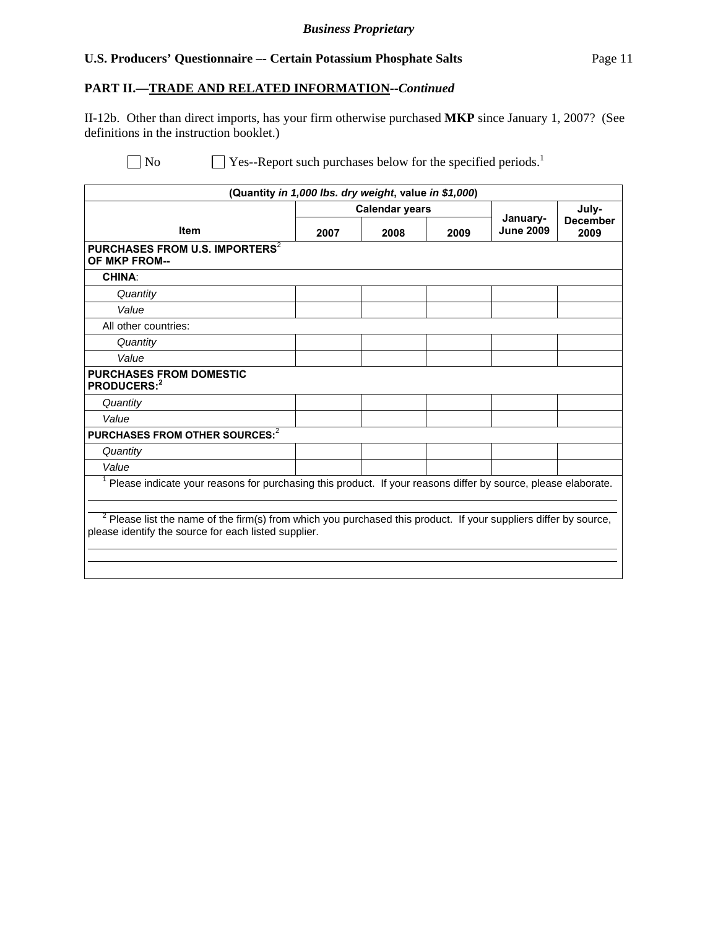## **PART II.—TRADE AND RELATED INFORMATION--***Continued*

II-12b. Other than direct imports, has your firm otherwise purchased **MKP** since January 1, 2007? (See definitions in the instruction booklet.)

 $\Box$  No  $\Box$  Yes--Report such purchases below for the specified periods.<sup>1</sup>

| (Quantity in 1,000 lbs. dry weight, value in \$1,000)                                                                                                                      |      |                       |      |                              |                                  |  |
|----------------------------------------------------------------------------------------------------------------------------------------------------------------------------|------|-----------------------|------|------------------------------|----------------------------------|--|
|                                                                                                                                                                            |      | <b>Calendar years</b> |      |                              | July-<br><b>December</b><br>2009 |  |
| <b>Item</b>                                                                                                                                                                | 2007 | 2008                  | 2009 | January-<br><b>June 2009</b> |                                  |  |
| PURCHASES FROM U.S. IMPORTERS <sup>2</sup><br><b>OF MKP FROM--</b>                                                                                                         |      |                       |      |                              |                                  |  |
| <b>CHINA:</b>                                                                                                                                                              |      |                       |      |                              |                                  |  |
| Quantity                                                                                                                                                                   |      |                       |      |                              |                                  |  |
| Value                                                                                                                                                                      |      |                       |      |                              |                                  |  |
| All other countries:                                                                                                                                                       |      |                       |      |                              |                                  |  |
| Quantity                                                                                                                                                                   |      |                       |      |                              |                                  |  |
| Value                                                                                                                                                                      |      |                       |      |                              |                                  |  |
| <b>PURCHASES FROM DOMESTIC</b><br>PRODUCERS: <sup>2</sup>                                                                                                                  |      |                       |      |                              |                                  |  |
| Quantity                                                                                                                                                                   |      |                       |      |                              |                                  |  |
| Value                                                                                                                                                                      |      |                       |      |                              |                                  |  |
| PURCHASES FROM OTHER SOURCES: <sup>2</sup>                                                                                                                                 |      |                       |      |                              |                                  |  |
| Quantity                                                                                                                                                                   |      |                       |      |                              |                                  |  |
| Value                                                                                                                                                                      |      |                       |      |                              |                                  |  |
| <sup>1</sup> Please indicate your reasons for purchasing this product. If your reasons differ by source, please elaborate.                                                 |      |                       |      |                              |                                  |  |
| $2$ Please list the name of the firm(s) from which you purchased this product. If your suppliers differ by source,<br>please identify the source for each listed supplier. |      |                       |      |                              |                                  |  |
|                                                                                                                                                                            |      |                       |      |                              |                                  |  |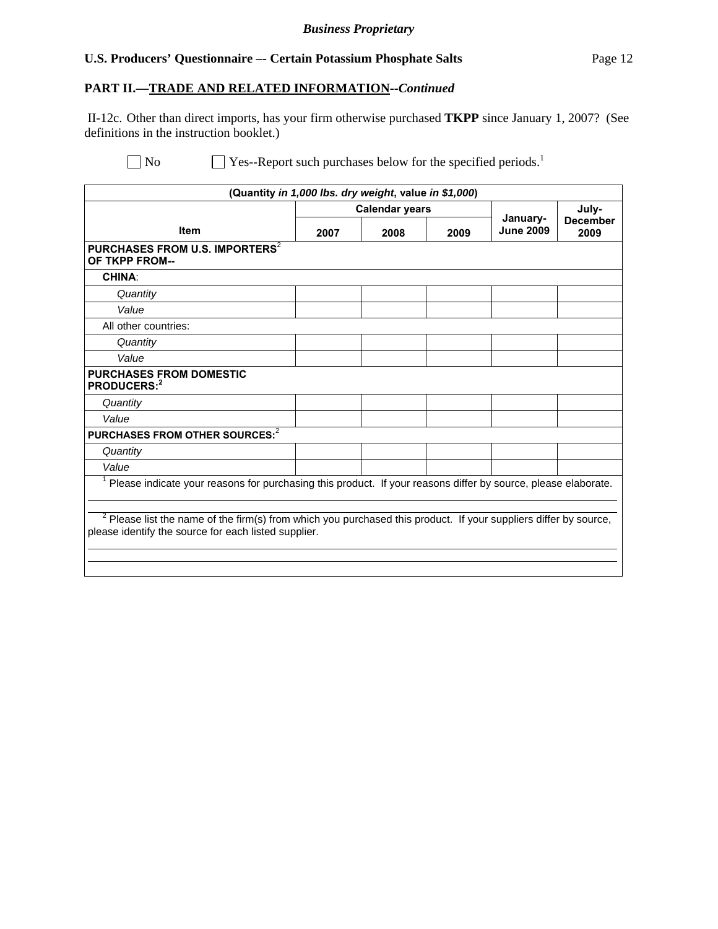# **PART II.—TRADE AND RELATED INFORMATION--***Continued*

 II-12c. Other than direct imports, has your firm otherwise purchased **TKPP** since January 1, 2007? (See definitions in the instruction booklet.)

 $\Box$  No  $\Box$  Yes--Report such purchases below for the specified periods.<sup>1</sup>

| (Quantity in 1,000 lbs. dry weight, value in \$1,000)                                                                                                                       |      |                       |      |                              |                         |
|-----------------------------------------------------------------------------------------------------------------------------------------------------------------------------|------|-----------------------|------|------------------------------|-------------------------|
|                                                                                                                                                                             |      | <b>Calendar years</b> |      |                              | July-                   |
| <b>Item</b>                                                                                                                                                                 | 2007 | 2008                  | 2009 | January-<br><b>June 2009</b> | <b>December</b><br>2009 |
| PURCHASES FROM U.S. IMPORTERS <sup>2</sup><br>OF TKPP FROM--                                                                                                                |      |                       |      |                              |                         |
| <b>CHINA:</b>                                                                                                                                                               |      |                       |      |                              |                         |
| Quantity                                                                                                                                                                    |      |                       |      |                              |                         |
| Value                                                                                                                                                                       |      |                       |      |                              |                         |
| All other countries:                                                                                                                                                        |      |                       |      |                              |                         |
| Quantity                                                                                                                                                                    |      |                       |      |                              |                         |
| Value                                                                                                                                                                       |      |                       |      |                              |                         |
| <b>PURCHASES FROM DOMESTIC</b><br>PRODUCERS: <sup>2</sup>                                                                                                                   |      |                       |      |                              |                         |
| Quantity                                                                                                                                                                    |      |                       |      |                              |                         |
| Value                                                                                                                                                                       |      |                       |      |                              |                         |
| PURCHASES FROM OTHER SOURCES: <sup>2</sup>                                                                                                                                  |      |                       |      |                              |                         |
| Quantity                                                                                                                                                                    |      |                       |      |                              |                         |
| Value                                                                                                                                                                       |      |                       |      |                              |                         |
| Please indicate your reasons for purchasing this product. If your reasons differ by source, please elaborate.                                                               |      |                       |      |                              |                         |
| $^2$ Please list the name of the firm(s) from which you purchased this product. If your suppliers differ by source,<br>please identify the source for each listed supplier. |      |                       |      |                              |                         |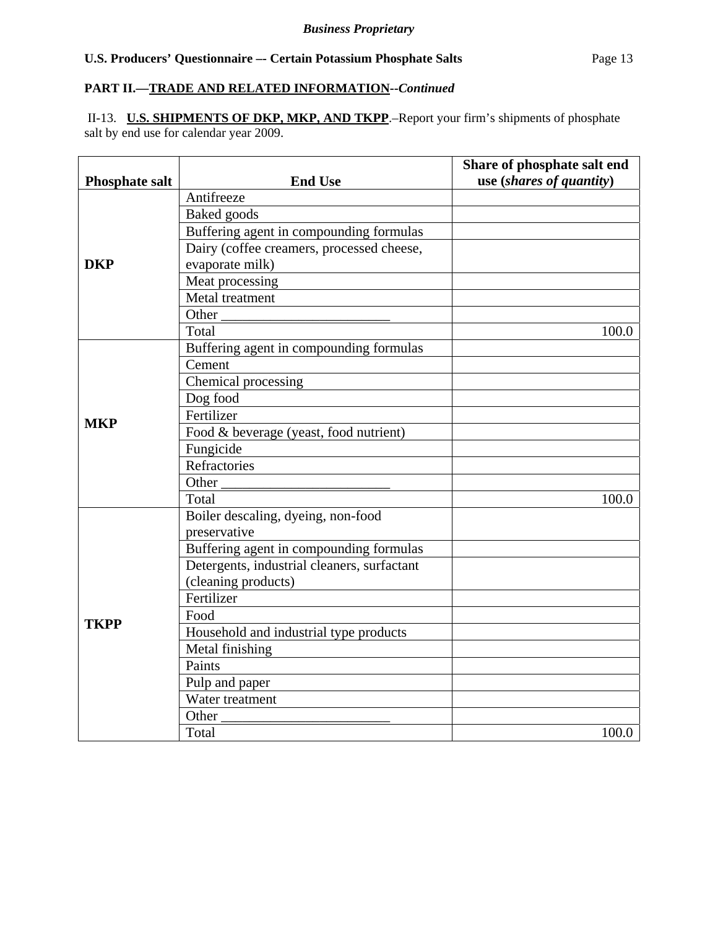## **PART II.—TRADE AND RELATED INFORMATION--***Continued*

 II-13. **U.S. SHIPMENTS OF DKP, MKP, AND TKPP**.–Report your firm's shipments of phosphate salt by end use for calendar year 2009.

| <b>Phosphate salt</b> | <b>End Use</b>                              | Share of phosphate salt end<br>use (shares of quantity) |
|-----------------------|---------------------------------------------|---------------------------------------------------------|
|                       | Antifreeze                                  |                                                         |
|                       | Baked goods                                 |                                                         |
|                       | Buffering agent in compounding formulas     |                                                         |
|                       | Dairy (coffee creamers, processed cheese,   |                                                         |
| <b>DKP</b>            | evaporate milk)                             |                                                         |
|                       | Meat processing                             |                                                         |
|                       | Metal treatment                             |                                                         |
|                       | Other                                       |                                                         |
|                       | Total                                       | 100.0                                                   |
|                       | Buffering agent in compounding formulas     |                                                         |
|                       | Cement                                      |                                                         |
|                       | Chemical processing                         |                                                         |
|                       | Dog food                                    |                                                         |
| <b>MKP</b>            | Fertilizer                                  |                                                         |
|                       | Food & beverage (yeast, food nutrient)      |                                                         |
|                       | Fungicide                                   |                                                         |
|                       | Refractories                                |                                                         |
|                       | Other                                       |                                                         |
|                       | Total                                       | 100.0                                                   |
|                       | Boiler descaling, dyeing, non-food          |                                                         |
|                       | preservative                                |                                                         |
|                       | Buffering agent in compounding formulas     |                                                         |
|                       | Detergents, industrial cleaners, surfactant |                                                         |
|                       | (cleaning products)                         |                                                         |
|                       | Fertilizer                                  |                                                         |
| <b>TKPP</b>           | Food                                        |                                                         |
|                       | Household and industrial type products      |                                                         |
|                       | Metal finishing                             |                                                         |
|                       | Paints                                      |                                                         |
|                       | Pulp and paper                              |                                                         |
|                       | Water treatment                             |                                                         |
|                       | Other                                       |                                                         |
|                       | Total                                       | 100.0                                                   |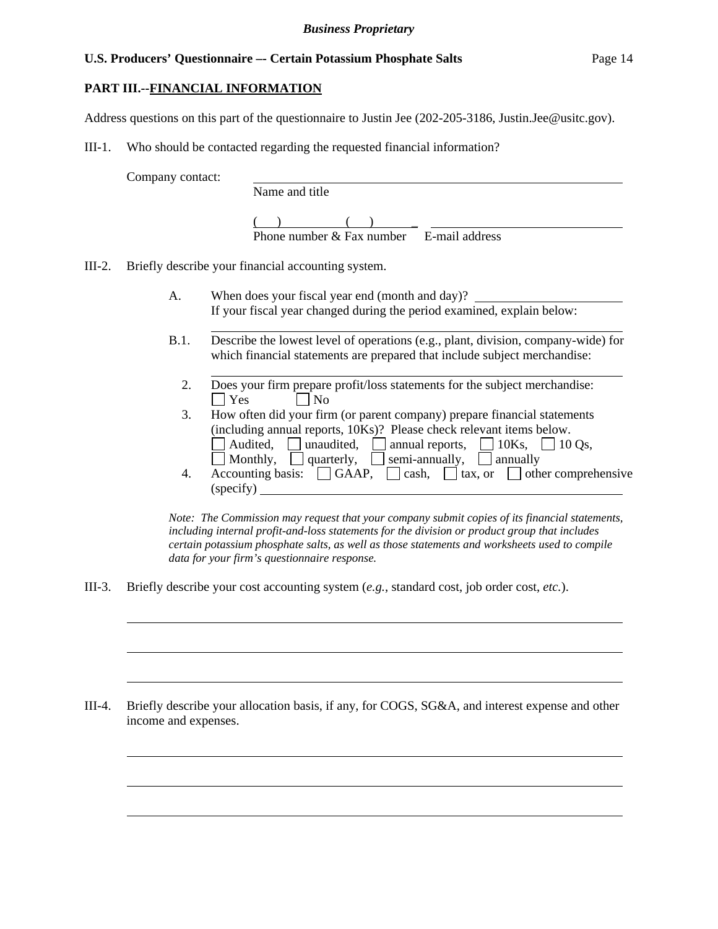## **PART III.--FINANCIAL INFORMATION**

Address questions on this part of the questionnaire to Justin Jee (202-205-3186, Justin.Jee@usitc.gov).

III-1. Who should be contacted regarding the requested financial information?

Company contact: Name and title

> $( )$  ( ) Phone number & Fax number E-mail address

III-2. Briefly describe your financial accounting system.

l

l

 $\overline{a}$ 

 $\overline{a}$ 

 $\overline{a}$ 

 $\overline{a}$ 

 $\overline{a}$ 

- A. When does your fiscal year end (month and day)? If your fiscal year changed during the period examined, explain below:
- B.1. Describe the lowest level of operations (e.g., plant, division, company-wide) for which financial statements are prepared that include subject merchandise:
	- l 2. Does your firm prepare profit/loss statements for the subject merchandise:  $\Box$  Yes  $\Box$  No
	- 3. How often did your firm (or parent company) prepare financial statements (including annual reports, 10Ks)? Please check relevant items below. Audited, unaudited, annual reports,  $\Box$  10Ks,  $\Box$  10 Qs,
- Monthly, quarterly, semi-annually, annually 4. Accounting basis:  $\Box$  GAAP,  $\Box$  cash,  $\Box$  tax, or  $\Box$  other comprehensive (specify)

*Note: The Commission may request that your company submit copies of its financial statements, including internal profit-and-loss statements for the division or product group that includes certain potassium phosphate salts, as well as those statements and worksheets used to compile data for your firm's questionnaire response.* 

III-3. Briefly describe your cost accounting system (*e.g.*, standard cost, job order cost, *etc.*).

III-4. Briefly describe your allocation basis, if any, for COGS, SG&A, and interest expense and other income and expenses.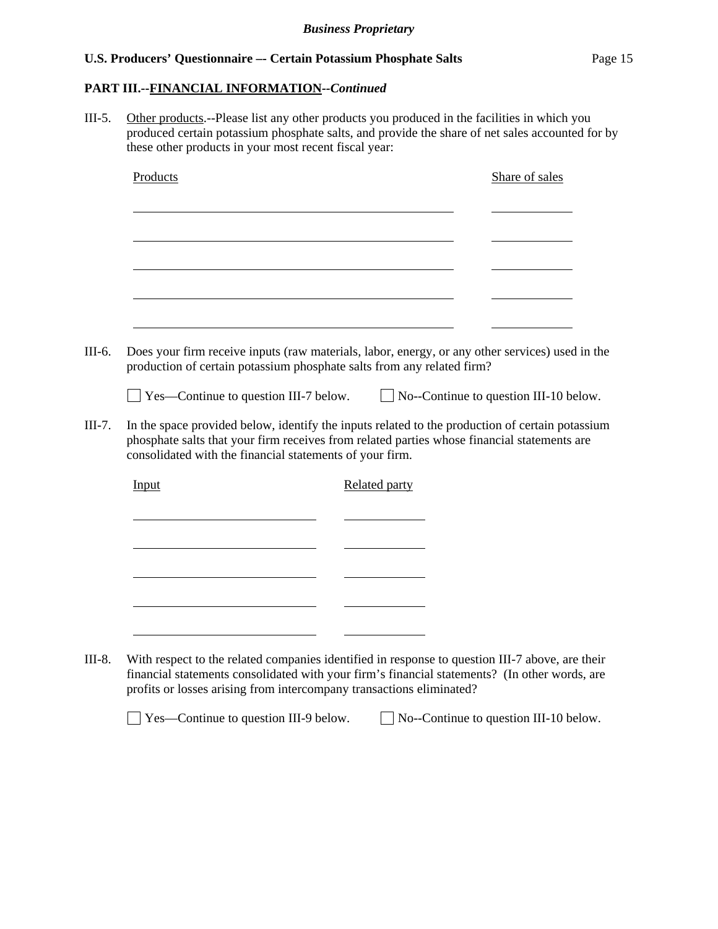## **PART III.--FINANCIAL INFORMATION***--Continued*

III-5. Other products.--Please list any other products you produced in the facilities in which you produced certain potassium phosphate salts, and provide the share of net sales accounted for by these other products in your most recent fiscal year: Products Share of sales l l l l l III-6. Does your firm receive inputs (raw materials, labor, energy, or any other services) used in the production of certain potassium phosphate salts from any related firm?  $\Box$  Yes—Continue to question III-7 below.  $\Box$  No--Continue to question III-10 below. III-7. In the space provided below, identify the inputs related to the production of certain potassium phosphate salts that your firm receives from related parties whose financial statements are consolidated with the financial statements of your firm. Input Related party l l l l l <u> 1990 - Johann Barbara, politik eta politik eta politik eta politik eta politik eta politik eta politik eta p</u> III-8. With respect to the related companies identified in response to question III-7 above, are their financial statements consolidated with your firm's financial statements? (In other words, are profits or losses arising from intercompany transactions eliminated?

 $\Box$  Yes—Continue to question III-9 below.  $\Box$  No--Continue to question III-10 below.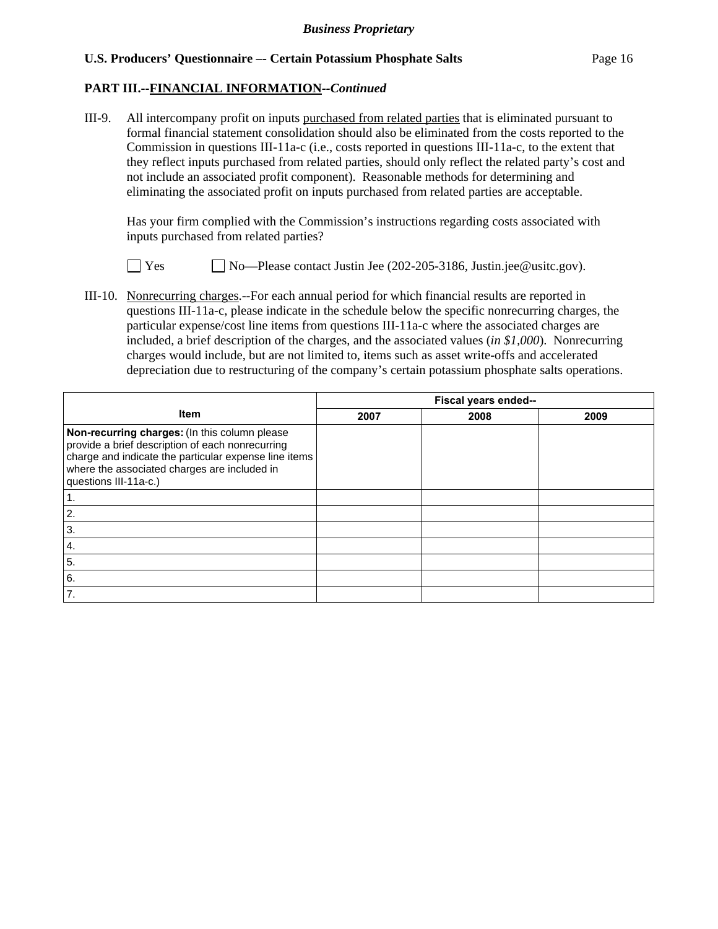#### **PART III.--FINANCIAL INFORMATION***--Continued*

III-9. All intercompany profit on inputs purchased from related parties that is eliminated pursuant to formal financial statement consolidation should also be eliminated from the costs reported to the Commission in questions III-11a-c (i.e., costs reported in questions III-11a-c, to the extent that they reflect inputs purchased from related parties, should only reflect the related party's cost and not include an associated profit component). Reasonable methods for determining and eliminating the associated profit on inputs purchased from related parties are acceptable.

 Has your firm complied with the Commission's instructions regarding costs associated with inputs purchased from related parties?

 $\Box$  Yes  $\Box$  No—Please contact Justin Jee (202-205-3186, Justin.jee@usitc.gov).

III-10. Nonrecurring charges.--For each annual period for which financial results are reported in questions III-11a-c, please indicate in the schedule below the specific nonrecurring charges, the particular expense/cost line items from questions III-11a-c where the associated charges are included, a brief description of the charges, and the associated values (*in \$1,000*). Nonrecurring charges would include, but are not limited to, items such as asset write-offs and accelerated depreciation due to restructuring of the company's certain potassium phosphate salts operations.

|                                                                                                                                                                                                                                     | Fiscal years ended-- |      |      |  |  |  |
|-------------------------------------------------------------------------------------------------------------------------------------------------------------------------------------------------------------------------------------|----------------------|------|------|--|--|--|
| <b>Item</b>                                                                                                                                                                                                                         | 2007                 | 2008 | 2009 |  |  |  |
| Non-recurring charges: (In this column please<br>provide a brief description of each nonrecurring<br>charge and indicate the particular expense line items<br>where the associated charges are included in<br>questions III-11a-c.) |                      |      |      |  |  |  |
|                                                                                                                                                                                                                                     |                      |      |      |  |  |  |
| $\overline{2}$ .                                                                                                                                                                                                                    |                      |      |      |  |  |  |
| 3.                                                                                                                                                                                                                                  |                      |      |      |  |  |  |
| <b>4.</b>                                                                                                                                                                                                                           |                      |      |      |  |  |  |
| 5.                                                                                                                                                                                                                                  |                      |      |      |  |  |  |
| 6.                                                                                                                                                                                                                                  |                      |      |      |  |  |  |
| 7.                                                                                                                                                                                                                                  |                      |      |      |  |  |  |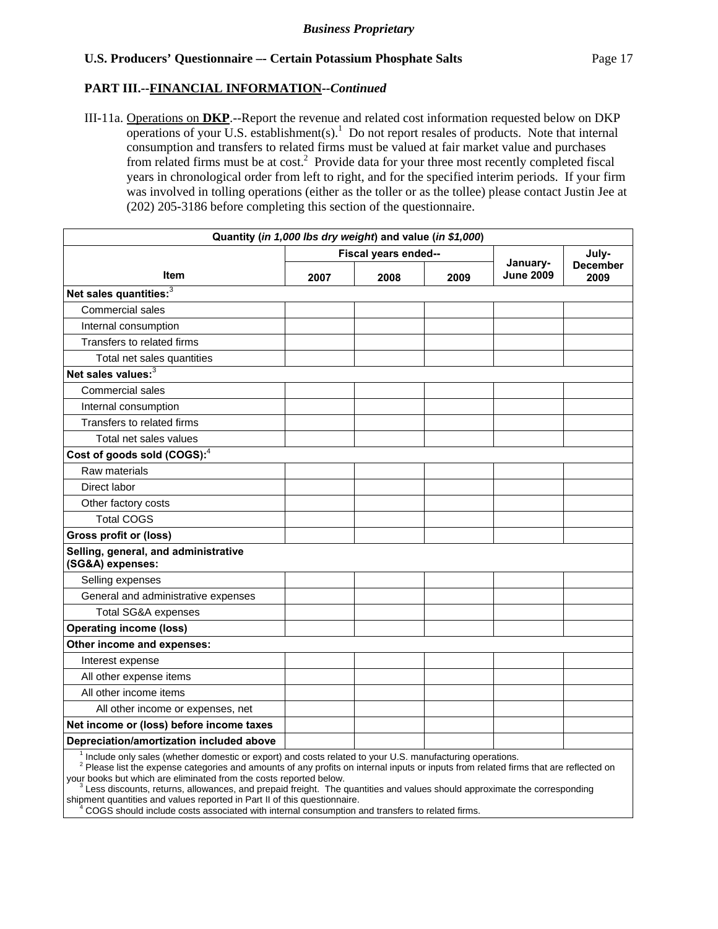## **PART III.--FINANCIAL INFORMATION***--Continued*

III-11a. Operations on **DKP**.--Report the revenue and related cost information requested below on DKP operations of your U.S. establishment(s).<sup>1</sup> Do not report resales of products. Note that internal consumption and transfers to related firms must be valued at fair market value and purchases from related firms must be at cost.<sup>2</sup> Provide data for your three most recently completed fiscal years in chronological order from left to right, and for the specified interim periods. If your firm was involved in tolling operations (either as the toller or as the tollee) please contact Justin Jee at (202) 205-3186 before completing this section of the questionnaire.

| Quantity (in 1,000 lbs dry weight) and value (in \$1,000)                                                |      |                      |      |                              |                         |
|----------------------------------------------------------------------------------------------------------|------|----------------------|------|------------------------------|-------------------------|
|                                                                                                          |      | Fiscal years ended-- |      |                              | July-                   |
| Item                                                                                                     | 2007 | 2008                 | 2009 | January-<br><b>June 2009</b> | <b>December</b><br>2009 |
| Net sales quantities: <sup>3</sup>                                                                       |      |                      |      |                              |                         |
| Commercial sales                                                                                         |      |                      |      |                              |                         |
| Internal consumption                                                                                     |      |                      |      |                              |                         |
| Transfers to related firms                                                                               |      |                      |      |                              |                         |
| Total net sales quantities                                                                               |      |                      |      |                              |                         |
| Net sales values: <sup>3</sup>                                                                           |      |                      |      |                              |                         |
| Commercial sales                                                                                         |      |                      |      |                              |                         |
| Internal consumption                                                                                     |      |                      |      |                              |                         |
| Transfers to related firms                                                                               |      |                      |      |                              |                         |
| Total net sales values                                                                                   |      |                      |      |                              |                         |
| Cost of goods sold (COGS): <sup>4</sup>                                                                  |      |                      |      |                              |                         |
| Raw materials                                                                                            |      |                      |      |                              |                         |
| Direct labor                                                                                             |      |                      |      |                              |                         |
| Other factory costs                                                                                      |      |                      |      |                              |                         |
| <b>Total COGS</b>                                                                                        |      |                      |      |                              |                         |
| <b>Gross profit or (loss)</b>                                                                            |      |                      |      |                              |                         |
| Selling, general, and administrative<br>(SG&A) expenses:                                                 |      |                      |      |                              |                         |
| Selling expenses                                                                                         |      |                      |      |                              |                         |
| General and administrative expenses                                                                      |      |                      |      |                              |                         |
| Total SG&A expenses                                                                                      |      |                      |      |                              |                         |
| <b>Operating income (loss)</b>                                                                           |      |                      |      |                              |                         |
| Other income and expenses:                                                                               |      |                      |      |                              |                         |
| Interest expense                                                                                         |      |                      |      |                              |                         |
| All other expense items                                                                                  |      |                      |      |                              |                         |
| All other income items                                                                                   |      |                      |      |                              |                         |
| All other income or expenses, net                                                                        |      |                      |      |                              |                         |
| Net income or (loss) before income taxes                                                                 |      |                      |      |                              |                         |
| Depreciation/amortization included above                                                                 |      |                      |      |                              |                         |
| Include only sales (whether domestic or export) and costs related to your U.S. manufacturing operations. |      |                      |      |                              |                         |

<sup>2</sup> Please list the expense categories and amounts of any profits on internal inputs or inputs from related firms that are reflected on your books but which are eliminated from the costs reported below.

 $\frac{3}{3}$ Less discounts, returns, allowances, and prepaid freight. The quantities and values should approximate the corresponding shipment quantities and values reported in Part II of this questionnaire.<br>4 COGS should include costs associated with internal consumption a

COGS should include costs associated with internal consumption and transfers to related firms.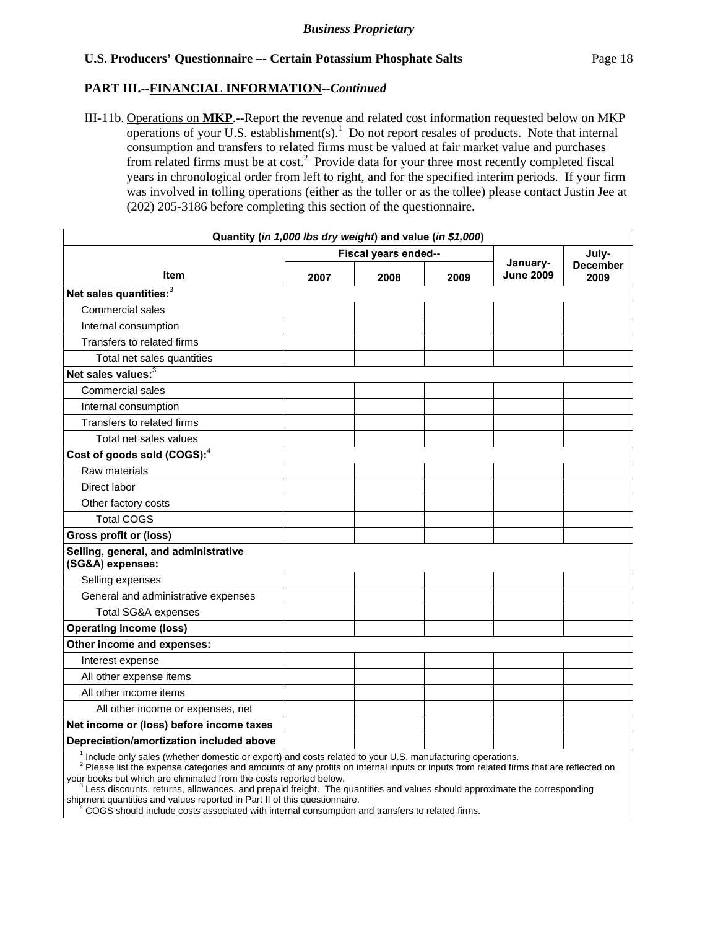## **PART III.--FINANCIAL INFORMATION***--Continued*

III-11b. Operations on **MKP**.--Report the revenue and related cost information requested below on MKP operations of your  $\overline{U}$ .S. establishment(s).<sup>1</sup> Do not report resales of products. Note that internal consumption and transfers to related firms must be valued at fair market value and purchases from related firms must be at cost.<sup>2</sup> Provide data for your three most recently completed fiscal years in chronological order from left to right, and for the specified interim periods. If your firm was involved in tolling operations (either as the toller or as the tollee) please contact Justin Jee at (202) 205-3186 before completing this section of the questionnaire.

| Quantity (in 1,000 lbs dry weight) and value (in \$1,000)                                                |      |                      |      |                              |                         |
|----------------------------------------------------------------------------------------------------------|------|----------------------|------|------------------------------|-------------------------|
|                                                                                                          |      | Fiscal years ended-- |      |                              | July-                   |
| Item                                                                                                     | 2007 | 2008                 | 2009 | January-<br><b>June 2009</b> | <b>December</b><br>2009 |
| Net sales quantities: <sup>3</sup>                                                                       |      |                      |      |                              |                         |
| Commercial sales                                                                                         |      |                      |      |                              |                         |
| Internal consumption                                                                                     |      |                      |      |                              |                         |
| Transfers to related firms                                                                               |      |                      |      |                              |                         |
| Total net sales quantities                                                                               |      |                      |      |                              |                         |
| Net sales values: <sup>3</sup>                                                                           |      |                      |      |                              |                         |
| Commercial sales                                                                                         |      |                      |      |                              |                         |
| Internal consumption                                                                                     |      |                      |      |                              |                         |
| Transfers to related firms                                                                               |      |                      |      |                              |                         |
| Total net sales values                                                                                   |      |                      |      |                              |                         |
| Cost of goods sold (COGS): <sup>4</sup>                                                                  |      |                      |      |                              |                         |
| Raw materials                                                                                            |      |                      |      |                              |                         |
| Direct labor                                                                                             |      |                      |      |                              |                         |
| Other factory costs                                                                                      |      |                      |      |                              |                         |
| <b>Total COGS</b>                                                                                        |      |                      |      |                              |                         |
| <b>Gross profit or (loss)</b>                                                                            |      |                      |      |                              |                         |
| Selling, general, and administrative<br>(SG&A) expenses:                                                 |      |                      |      |                              |                         |
| Selling expenses                                                                                         |      |                      |      |                              |                         |
| General and administrative expenses                                                                      |      |                      |      |                              |                         |
| Total SG&A expenses                                                                                      |      |                      |      |                              |                         |
| <b>Operating income (loss)</b>                                                                           |      |                      |      |                              |                         |
| Other income and expenses:                                                                               |      |                      |      |                              |                         |
| Interest expense                                                                                         |      |                      |      |                              |                         |
| All other expense items                                                                                  |      |                      |      |                              |                         |
| All other income items                                                                                   |      |                      |      |                              |                         |
| All other income or expenses, net                                                                        |      |                      |      |                              |                         |
| Net income or (loss) before income taxes                                                                 |      |                      |      |                              |                         |
| Depreciation/amortization included above                                                                 |      |                      |      |                              |                         |
| Include only sales (whether domestic or export) and costs related to your U.S. manufacturing operations. |      |                      |      |                              |                         |

<sup>2</sup> Please list the expense categories and amounts of any profits on internal inputs or inputs from related firms that are reflected on your books but which are eliminated from the costs reported below.

 $\frac{3}{3}$ Less discounts, returns, allowances, and prepaid freight. The quantities and values should approximate the corresponding shipment quantities and values reported in Part II of this questionnaire.<br>4 COGS should include costs associated with internal consumption a

COGS should include costs associated with internal consumption and transfers to related firms.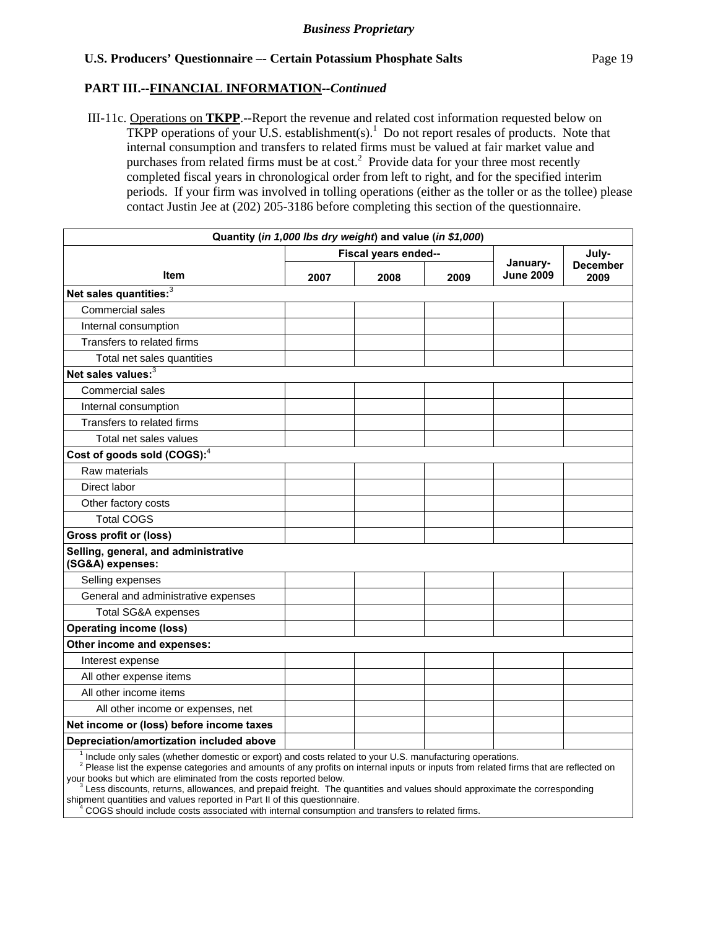#### **PART III.--FINANCIAL INFORMATION***--Continued*

 III-11c. Operations on **TKPP**.--Report the revenue and related cost information requested below on TKPP operations of your U.S. establishment(s).<sup>1</sup> Do not report resales of products. Note that internal consumption and transfers to related firms must be valued at fair market value and purchases from related firms must be at  $cost<sup>2</sup>$ . Provide data for your three most recently completed fiscal years in chronological order from left to right, and for the specified interim periods. If your firm was involved in tolling operations (either as the toller or as the tollee) please contact Justin Jee at (202) 205-3186 before completing this section of the questionnaire.

| Quantity (in 1,000 lbs dry weight) and value (in \$1,000)                                                |      |                      |      |                              |                         |
|----------------------------------------------------------------------------------------------------------|------|----------------------|------|------------------------------|-------------------------|
|                                                                                                          |      | Fiscal years ended-- |      |                              | July-                   |
| Item                                                                                                     | 2007 | 2008                 | 2009 | January-<br><b>June 2009</b> | <b>December</b><br>2009 |
| Net sales quantities: <sup>3</sup>                                                                       |      |                      |      |                              |                         |
| Commercial sales                                                                                         |      |                      |      |                              |                         |
| Internal consumption                                                                                     |      |                      |      |                              |                         |
| Transfers to related firms                                                                               |      |                      |      |                              |                         |
| Total net sales quantities                                                                               |      |                      |      |                              |                         |
| Net sales values: <sup>3</sup>                                                                           |      |                      |      |                              |                         |
| <b>Commercial sales</b>                                                                                  |      |                      |      |                              |                         |
| Internal consumption                                                                                     |      |                      |      |                              |                         |
| Transfers to related firms                                                                               |      |                      |      |                              |                         |
| Total net sales values                                                                                   |      |                      |      |                              |                         |
| Cost of goods sold (COGS): <sup>4</sup>                                                                  |      |                      |      |                              |                         |
| Raw materials                                                                                            |      |                      |      |                              |                         |
| Direct labor                                                                                             |      |                      |      |                              |                         |
| Other factory costs                                                                                      |      |                      |      |                              |                         |
| <b>Total COGS</b>                                                                                        |      |                      |      |                              |                         |
| Gross profit or (loss)                                                                                   |      |                      |      |                              |                         |
| Selling, general, and administrative<br>(SG&A) expenses:                                                 |      |                      |      |                              |                         |
| Selling expenses                                                                                         |      |                      |      |                              |                         |
| General and administrative expenses                                                                      |      |                      |      |                              |                         |
| <b>Total SG&amp;A expenses</b>                                                                           |      |                      |      |                              |                         |
| <b>Operating income (loss)</b>                                                                           |      |                      |      |                              |                         |
| Other income and expenses:                                                                               |      |                      |      |                              |                         |
| Interest expense                                                                                         |      |                      |      |                              |                         |
| All other expense items                                                                                  |      |                      |      |                              |                         |
| All other income items                                                                                   |      |                      |      |                              |                         |
| All other income or expenses, net                                                                        |      |                      |      |                              |                         |
| Net income or (loss) before income taxes                                                                 |      |                      |      |                              |                         |
| Depreciation/amortization included above                                                                 |      |                      |      |                              |                         |
| Include only sales (whether domestic or export) and costs related to your U.S. manufacturing operations. |      |                      |      |                              |                         |

<sup>2</sup> Please list the expense categories and amounts of any profits on internal inputs or inputs from related firms that are reflected on

your books but which are eliminated from the costs reported below.  $\frac{3}{3}$ Less discounts, returns, allowances, and prepaid freight. The quantities and values should approximate the corresponding

shipment quantities and values reported in Part II of this questionnaire.<br>4 COGS should include costs associated with internal consumption a COGS should include costs associated with internal consumption and transfers to related firms.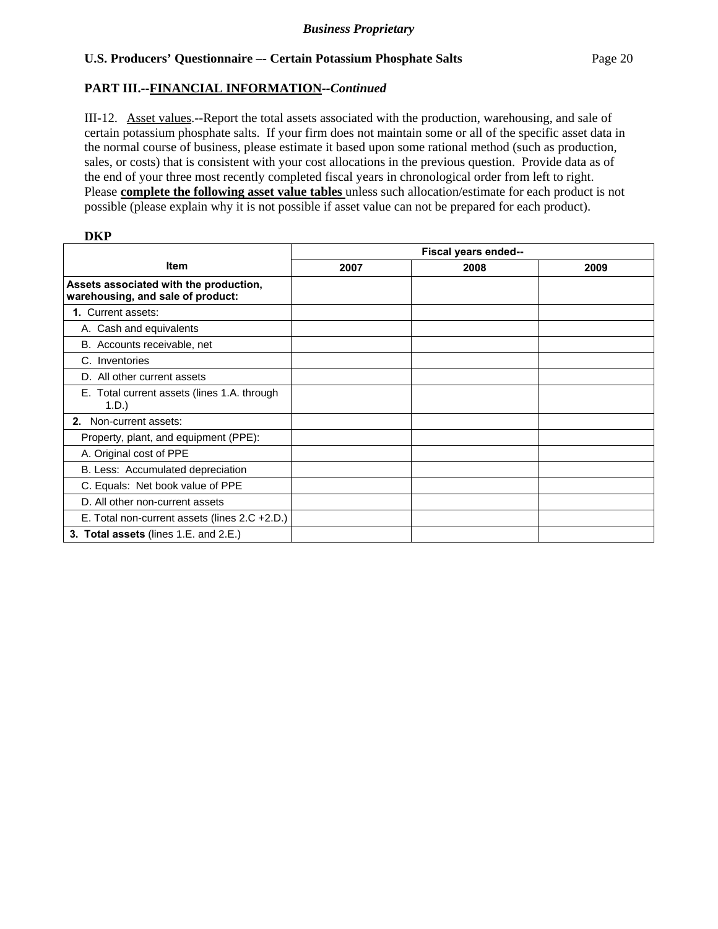## **PART III.--FINANCIAL INFORMATION***--Continued*

III-12. Asset values.--Report the total assets associated with the production, warehousing, and sale of certain potassium phosphate salts. If your firm does not maintain some or all of the specific asset data in the normal course of business, please estimate it based upon some rational method (such as production, sales, or costs) that is consistent with your cost allocations in the previous question. Provide data as of the end of your three most recently completed fiscal years in chronological order from left to right. Please **complete the following asset value tables** unless such allocation/estimate for each product is not possible (please explain why it is not possible if asset value can not be prepared for each product).

|                                                                             | Fiscal years ended-- |      |      |  |  |  |
|-----------------------------------------------------------------------------|----------------------|------|------|--|--|--|
| <b>Item</b>                                                                 | 2007                 | 2008 | 2009 |  |  |  |
| Assets associated with the production,<br>warehousing, and sale of product: |                      |      |      |  |  |  |
| 1. Current assets:                                                          |                      |      |      |  |  |  |
| A. Cash and equivalents                                                     |                      |      |      |  |  |  |
| B. Accounts receivable, net                                                 |                      |      |      |  |  |  |
| C. Inventories                                                              |                      |      |      |  |  |  |
| D. All other current assets                                                 |                      |      |      |  |  |  |
| E. Total current assets (lines 1.A. through<br>$1.D.$ )                     |                      |      |      |  |  |  |
| 2. Non-current assets:                                                      |                      |      |      |  |  |  |
| Property, plant, and equipment (PPE):                                       |                      |      |      |  |  |  |
| A. Original cost of PPE                                                     |                      |      |      |  |  |  |
| B. Less: Accumulated depreciation                                           |                      |      |      |  |  |  |
| C. Equals: Net book value of PPE                                            |                      |      |      |  |  |  |
| D. All other non-current assets                                             |                      |      |      |  |  |  |
| E. Total non-current assets (lines 2.C +2.D.)                               |                      |      |      |  |  |  |
| 3. Total assets (lines 1.E. and 2.E.)                                       |                      |      |      |  |  |  |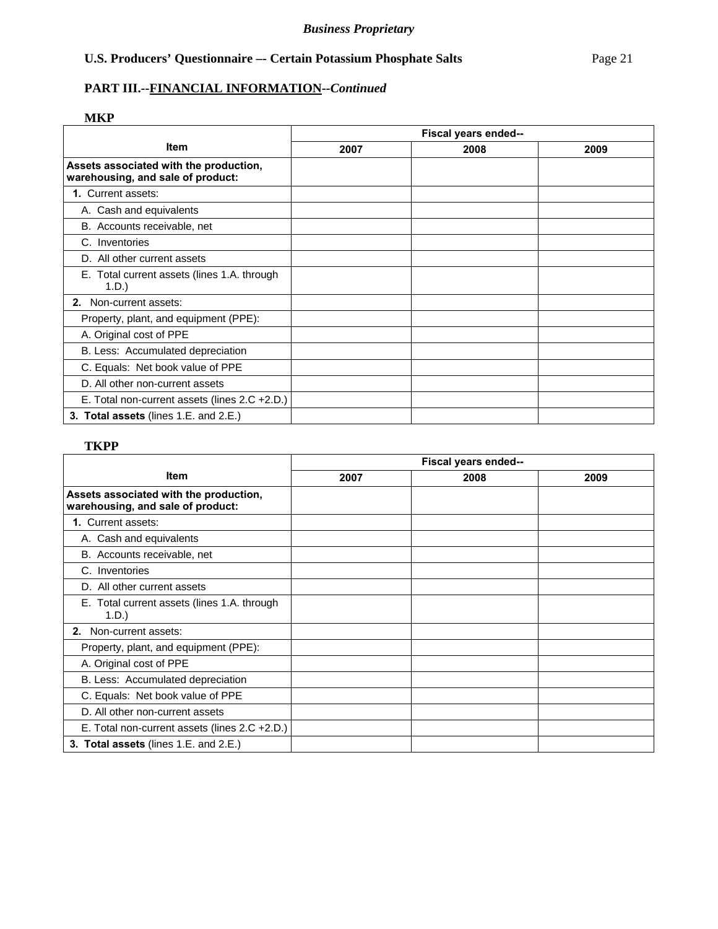## **PART III.--FINANCIAL INFORMATION***--Continued*

## **MKP**

|                                                                             | Fiscal years ended-- |      |      |  |  |  |
|-----------------------------------------------------------------------------|----------------------|------|------|--|--|--|
| <b>Item</b>                                                                 | 2007                 | 2008 | 2009 |  |  |  |
| Assets associated with the production,<br>warehousing, and sale of product: |                      |      |      |  |  |  |
| <b>1. Current assets:</b>                                                   |                      |      |      |  |  |  |
| A. Cash and equivalents                                                     |                      |      |      |  |  |  |
| B. Accounts receivable, net                                                 |                      |      |      |  |  |  |
| C. Inventories                                                              |                      |      |      |  |  |  |
| D. All other current assets                                                 |                      |      |      |  |  |  |
| E. Total current assets (lines 1.A. through<br>1.D.                         |                      |      |      |  |  |  |
| 2. Non-current assets:                                                      |                      |      |      |  |  |  |
| Property, plant, and equipment (PPE):                                       |                      |      |      |  |  |  |
| A. Original cost of PPE                                                     |                      |      |      |  |  |  |
| B. Less: Accumulated depreciation                                           |                      |      |      |  |  |  |
| C. Equals: Net book value of PPE                                            |                      |      |      |  |  |  |
| D. All other non-current assets                                             |                      |      |      |  |  |  |
| E. Total non-current assets (lines 2.C +2.D.)                               |                      |      |      |  |  |  |
| 3. Total assets (lines 1.E. and 2.E.)                                       |                      |      |      |  |  |  |

## **TKPP**

|                                                                             | Fiscal years ended-- |      |      |  |  |  |
|-----------------------------------------------------------------------------|----------------------|------|------|--|--|--|
| <b>Item</b>                                                                 | 2007                 | 2008 | 2009 |  |  |  |
| Assets associated with the production,<br>warehousing, and sale of product: |                      |      |      |  |  |  |
| 1. Current assets:                                                          |                      |      |      |  |  |  |
| A. Cash and equivalents                                                     |                      |      |      |  |  |  |
| B. Accounts receivable, net                                                 |                      |      |      |  |  |  |
| C. Inventories                                                              |                      |      |      |  |  |  |
| D. All other current assets                                                 |                      |      |      |  |  |  |
| E. Total current assets (lines 1.A. through<br>$1.D.$ )                     |                      |      |      |  |  |  |
| 2. Non-current assets:                                                      |                      |      |      |  |  |  |
| Property, plant, and equipment (PPE):                                       |                      |      |      |  |  |  |
| A. Original cost of PPE                                                     |                      |      |      |  |  |  |
| B. Less: Accumulated depreciation                                           |                      |      |      |  |  |  |
| C. Equals: Net book value of PPE                                            |                      |      |      |  |  |  |
| D. All other non-current assets                                             |                      |      |      |  |  |  |
| E. Total non-current assets (lines 2.C +2.D.)                               |                      |      |      |  |  |  |
| 3. Total assets (lines 1.E. and 2.E.)                                       |                      |      |      |  |  |  |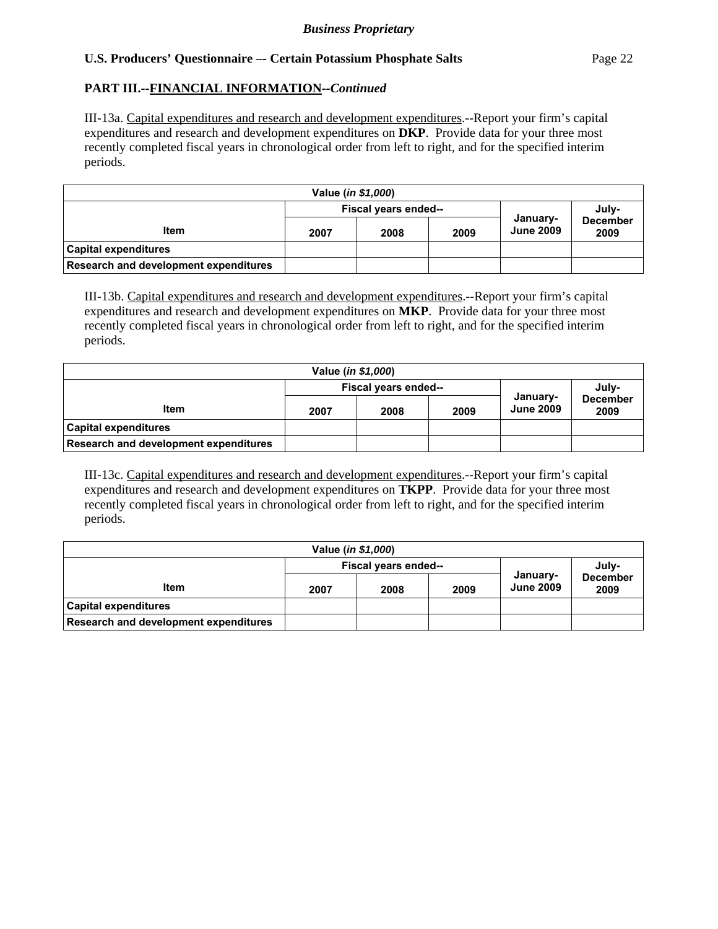## **PART III.--FINANCIAL INFORMATION***--Continued*

III-13a. Capital expenditures and research and development expenditures.--Report your firm's capital expenditures and research and development expenditures on **DKP**. Provide data for your three most recently completed fiscal years in chronological order from left to right, and for the specified interim periods.

| Value ( <i>in \$1,000</i> )           |      |                      |      |                              |                         |  |
|---------------------------------------|------|----------------------|------|------------------------------|-------------------------|--|
|                                       |      | Fiscal years ended-- |      | July-                        |                         |  |
| <b>Item</b>                           | 2007 | 2008                 | 2009 | January-<br><b>June 2009</b> | <b>December</b><br>2009 |  |
| <b>Capital expenditures</b>           |      |                      |      |                              |                         |  |
| Research and development expenditures |      |                      |      |                              |                         |  |

III-13b. Capital expenditures and research and development expenditures.--Report your firm's capital expenditures and research and development expenditures on **MKP**. Provide data for your three most recently completed fiscal years in chronological order from left to right, and for the specified interim periods.

| Value (in \$1,000)                    |                               |      |      |                              |                         |  |
|---------------------------------------|-------------------------------|------|------|------------------------------|-------------------------|--|
|                                       | July-<br>Fiscal years ended-- |      |      |                              |                         |  |
| Item                                  | 2007                          | 2008 | 2009 | January-<br><b>June 2009</b> | <b>December</b><br>2009 |  |
| <b>Capital expenditures</b>           |                               |      |      |                              |                         |  |
| Research and development expenditures |                               |      |      |                              |                         |  |

III-13c. Capital expenditures and research and development expenditures.--Report your firm's capital expenditures and research and development expenditures on **TKPP**. Provide data for your three most recently completed fiscal years in chronological order from left to right, and for the specified interim periods.

| Value ( <i>in \$1,000</i> )           |      |                      |      |                              |                         |  |
|---------------------------------------|------|----------------------|------|------------------------------|-------------------------|--|
|                                       |      | Fiscal years ended-- |      | July-                        |                         |  |
| <b>Item</b>                           | 2007 | 2008                 | 2009 | January-<br><b>June 2009</b> | <b>December</b><br>2009 |  |
| <b>Capital expenditures</b>           |      |                      |      |                              |                         |  |
| Research and development expenditures |      |                      |      |                              |                         |  |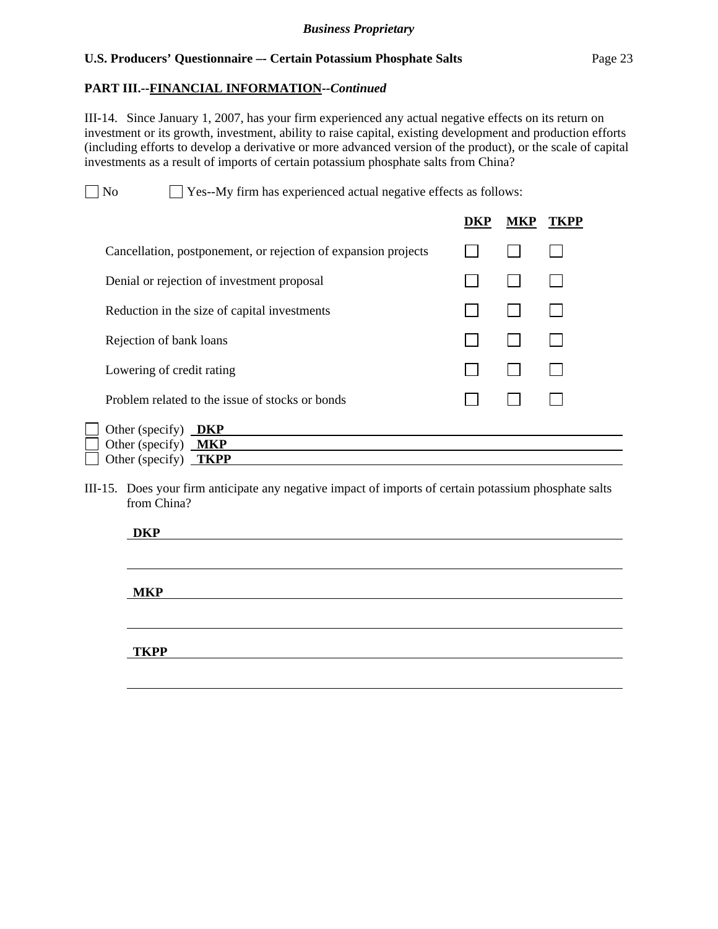## **PART III.--FINANCIAL INFORMATION***--Continued*

 $\overline{a}$ 

III-14. Since January 1, 2007, has your firm experienced any actual negative effects on its return on investment or its growth, investment, ability to raise capital, existing development and production efforts (including efforts to develop a derivative or more advanced version of the product), or the scale of capital investments as a result of imports of certain potassium phosphate salts from China?

No Ses-My firm has experienced actual negative effects as follows:

|                                                                | DKP | MKP | TKPP |
|----------------------------------------------------------------|-----|-----|------|
| Cancellation, postponement, or rejection of expansion projects |     |     |      |
| Denial or rejection of investment proposal                     |     |     |      |
| Reduction in the size of capital investments                   |     |     |      |
| Rejection of bank loans                                        |     |     |      |
| Lowering of credit rating                                      |     |     |      |
| Problem related to the issue of stocks or bonds                |     |     |      |
| Other (specify)<br><b>DKP</b>                                  |     |     |      |
| Other (specify) $MKP$<br><b>TKPP</b><br>Other (specify)        |     |     |      |
|                                                                |     |     |      |

III-15. Does your firm anticipate any negative impact of imports of certain potassium phosphate salts from China?

| <b>DKP</b>  |  |  |
|-------------|--|--|
|             |  |  |
|             |  |  |
|             |  |  |
| <b>MKP</b>  |  |  |
|             |  |  |
|             |  |  |
|             |  |  |
| <b>TKPP</b> |  |  |
|             |  |  |
|             |  |  |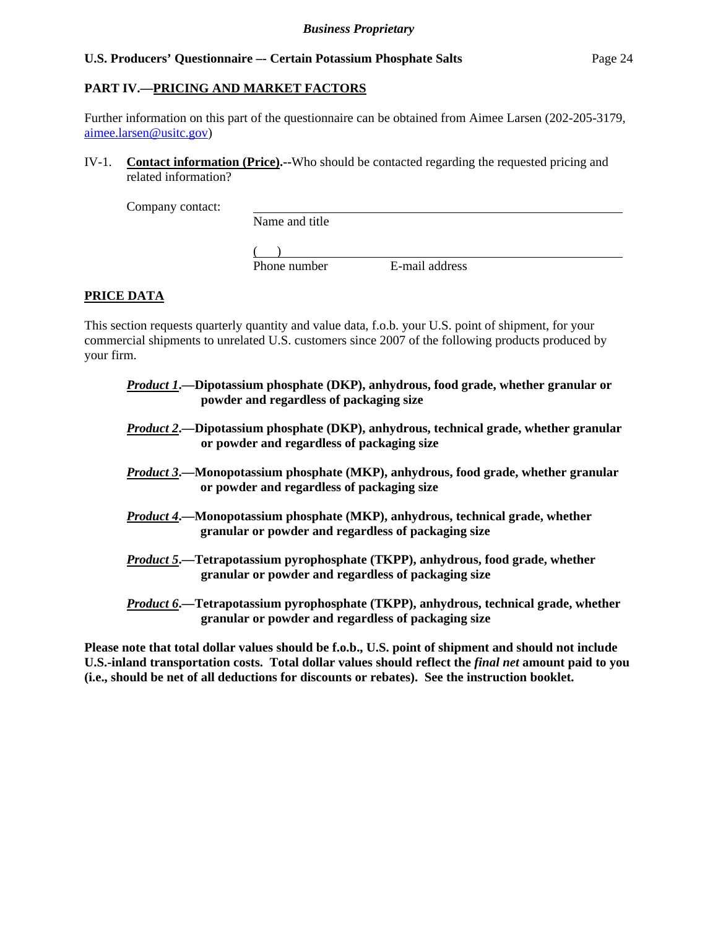## **PART IV.—PRICING AND MARKET FACTORS**

Further information on this part of the questionnaire can be obtained from Aimee Larsen (202-205-3179, aimee.larsen@usitc.gov)

IV-1. **Contact information (Price).--**Who should be contacted regarding the requested pricing and related information?

Company contact:

Name and title

 $($ 

Phone number E-mail address

## **PRICE DATA**

This section requests quarterly quantity and value data, f.o.b. your U.S. point of shipment, for your commercial shipments to unrelated U.S. customers since 2007 of the following products produced by your firm.

- *Product 1***.—Dipotassium phosphate (DKP), anhydrous, food grade, whether granular or powder and regardless of packaging size**
- *Product 2***.—Dipotassium phosphate (DKP), anhydrous, technical grade, whether granular or powder and regardless of packaging size**
- *Product 3***.—Monopotassium phosphate (MKP), anhydrous, food grade, whether granular or powder and regardless of packaging size**
- *Product 4***.—Monopotassium phosphate (MKP), anhydrous, technical grade, whether granular or powder and regardless of packaging size**
- *Product 5***.—Tetrapotassium pyrophosphate (TKPP), anhydrous, food grade, whether granular or powder and regardless of packaging size**
- *Product 6***.—Tetrapotassium pyrophosphate (TKPP), anhydrous, technical grade, whether granular or powder and regardless of packaging size**

**Please note that total dollar values should be f.o.b., U.S. point of shipment and should not include U.S.-inland transportation costs. Total dollar values should reflect the** *final net* **amount paid to you (i.e., should be net of all deductions for discounts or rebates). See the instruction booklet.**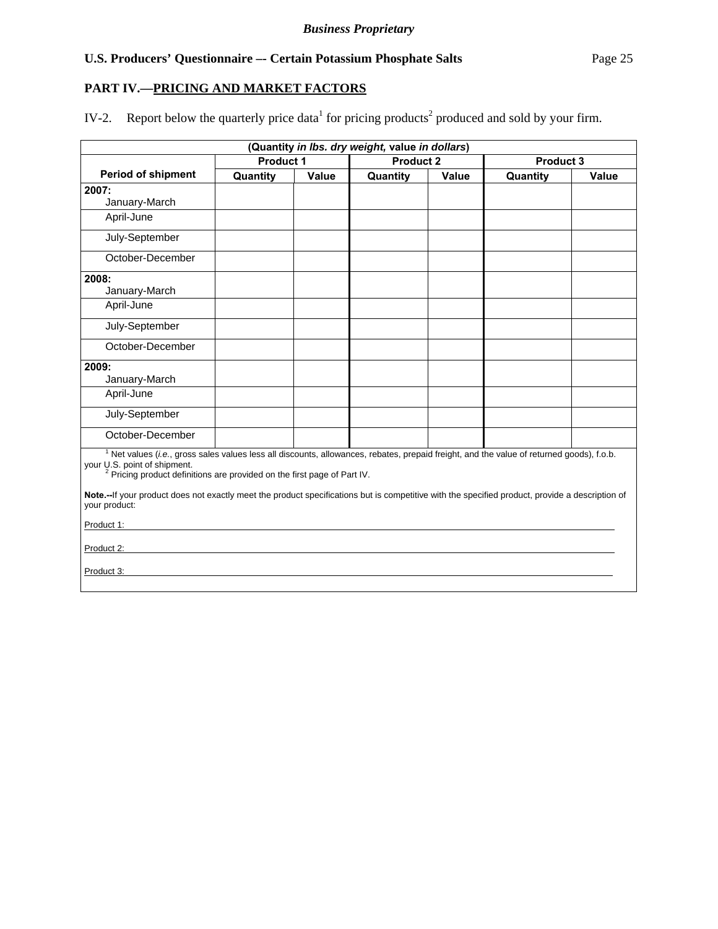## **PART IV.—PRICING AND MARKET FACTORS**

IV-2. Report below the quarterly price data<sup>1</sup> for pricing products<sup>2</sup> produced and sold by your firm.

| (Quantity in Ibs. dry weight, value in dollars)                                                                                                                                                                                                                             |           |       |          |                  |          |           |
|-----------------------------------------------------------------------------------------------------------------------------------------------------------------------------------------------------------------------------------------------------------------------------|-----------|-------|----------|------------------|----------|-----------|
|                                                                                                                                                                                                                                                                             | Product 1 |       |          | <b>Product 2</b> |          | Product 3 |
| <b>Period of shipment</b>                                                                                                                                                                                                                                                   | Quantity  | Value | Quantity | Value            | Quantity | Value     |
| 2007:                                                                                                                                                                                                                                                                       |           |       |          |                  |          |           |
| January-March                                                                                                                                                                                                                                                               |           |       |          |                  |          |           |
| April-June                                                                                                                                                                                                                                                                  |           |       |          |                  |          |           |
| July-September                                                                                                                                                                                                                                                              |           |       |          |                  |          |           |
| October-December                                                                                                                                                                                                                                                            |           |       |          |                  |          |           |
| 2008:                                                                                                                                                                                                                                                                       |           |       |          |                  |          |           |
| January-March                                                                                                                                                                                                                                                               |           |       |          |                  |          |           |
| April-June                                                                                                                                                                                                                                                                  |           |       |          |                  |          |           |
| July-September                                                                                                                                                                                                                                                              |           |       |          |                  |          |           |
| October-December                                                                                                                                                                                                                                                            |           |       |          |                  |          |           |
| 2009:                                                                                                                                                                                                                                                                       |           |       |          |                  |          |           |
| January-March                                                                                                                                                                                                                                                               |           |       |          |                  |          |           |
| April-June                                                                                                                                                                                                                                                                  |           |       |          |                  |          |           |
| July-September                                                                                                                                                                                                                                                              |           |       |          |                  |          |           |
| October-December                                                                                                                                                                                                                                                            |           |       |          |                  |          |           |
| <sup>1</sup> Net values (i.e., gross sales values less all discounts, allowances, rebates, prepaid freight, and the value of returned goods), f.o.b.<br>your U.S. point of shipment.<br><sup>2</sup> Pricing product definitions are provided on the first page of Part IV. |           |       |          |                  |          |           |
| Note.--If your product does not exactly meet the product specifications but is competitive with the specified product, provide a description of<br>your product:                                                                                                            |           |       |          |                  |          |           |
| Product 1:                                                                                                                                                                                                                                                                  |           |       |          |                  |          |           |
| Product 2:                                                                                                                                                                                                                                                                  |           |       |          |                  |          |           |
| Product 3:                                                                                                                                                                                                                                                                  |           |       |          |                  |          |           |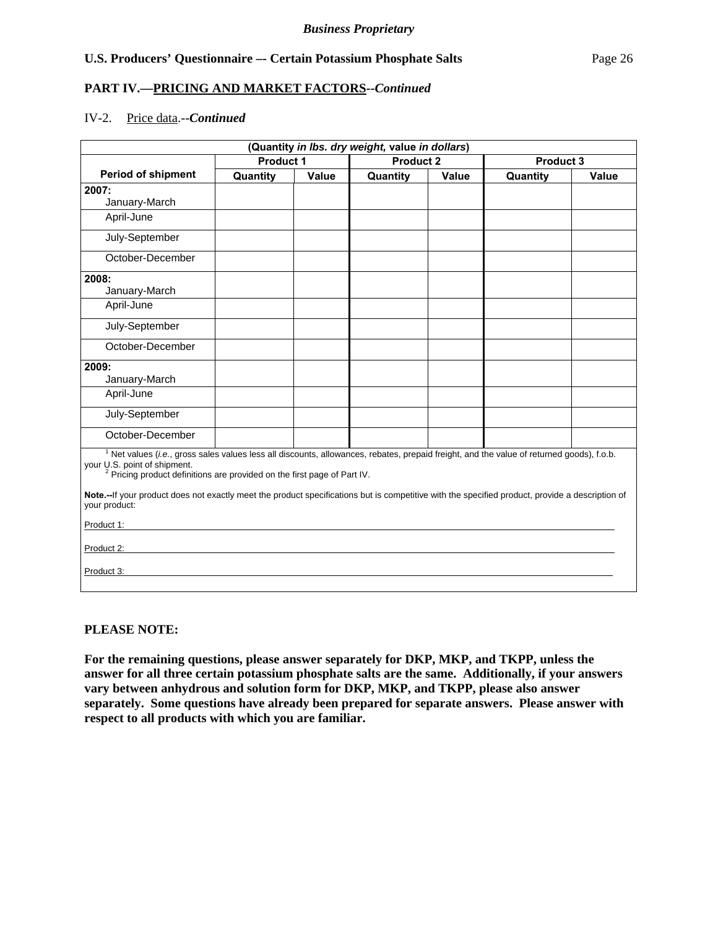## **PART IV.—PRICING AND MARKET FACTORS***--Continued*

#### IV-2. Price data.--*Continued*

| (Quantity in Ibs. dry weight, value in dollars)                                                                                                                                                                                                                             |           |       |                  |       |                  |       |
|-----------------------------------------------------------------------------------------------------------------------------------------------------------------------------------------------------------------------------------------------------------------------------|-----------|-------|------------------|-------|------------------|-------|
|                                                                                                                                                                                                                                                                             | Product 1 |       | <b>Product 2</b> |       | <b>Product 3</b> |       |
| <b>Period of shipment</b>                                                                                                                                                                                                                                                   | Quantity  | Value | Quantity         | Value | Quantity         | Value |
| 2007:                                                                                                                                                                                                                                                                       |           |       |                  |       |                  |       |
| January-March                                                                                                                                                                                                                                                               |           |       |                  |       |                  |       |
| April-June                                                                                                                                                                                                                                                                  |           |       |                  |       |                  |       |
| July-September                                                                                                                                                                                                                                                              |           |       |                  |       |                  |       |
| October-December                                                                                                                                                                                                                                                            |           |       |                  |       |                  |       |
| 2008:                                                                                                                                                                                                                                                                       |           |       |                  |       |                  |       |
| January-March                                                                                                                                                                                                                                                               |           |       |                  |       |                  |       |
| April-June                                                                                                                                                                                                                                                                  |           |       |                  |       |                  |       |
| July-September                                                                                                                                                                                                                                                              |           |       |                  |       |                  |       |
| October-December                                                                                                                                                                                                                                                            |           |       |                  |       |                  |       |
| 2009:                                                                                                                                                                                                                                                                       |           |       |                  |       |                  |       |
| January-March                                                                                                                                                                                                                                                               |           |       |                  |       |                  |       |
| April-June                                                                                                                                                                                                                                                                  |           |       |                  |       |                  |       |
| July-September                                                                                                                                                                                                                                                              |           |       |                  |       |                  |       |
| October-December                                                                                                                                                                                                                                                            |           |       |                  |       |                  |       |
| <sup>1</sup> Net values (i.e., gross sales values less all discounts, allowances, rebates, prepaid freight, and the value of returned goods), f.o.b.<br>your U.S. point of shipment.<br><sup>2</sup> Pricing product definitions are provided on the first page of Part IV. |           |       |                  |       |                  |       |
| Note.--If your product does not exactly meet the product specifications but is competitive with the specified product, provide a description of<br>your product:                                                                                                            |           |       |                  |       |                  |       |
| Product 1:                                                                                                                                                                                                                                                                  |           |       |                  |       |                  |       |
| Product 2:                                                                                                                                                                                                                                                                  |           |       |                  |       |                  |       |
| Product 3:                                                                                                                                                                                                                                                                  |           |       |                  |       |                  |       |

## **PLEASE NOTE:**

**For the remaining questions, please answer separately for DKP, MKP, and TKPP, unless the answer for all three certain potassium phosphate salts are the same. Additionally, if your answers vary between anhydrous and solution form for DKP, MKP, and TKPP, please also answer separately. Some questions have already been prepared for separate answers. Please answer with respect to all products with which you are familiar.**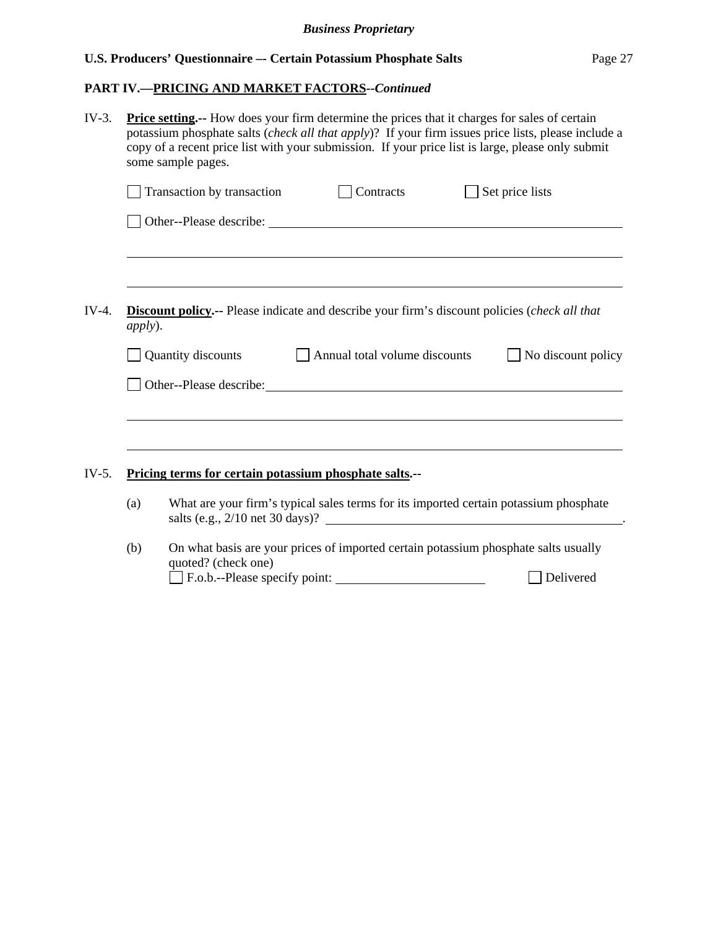# **PART IV.—PRICING AND MARKET FACTORS***--Continued*

| $IV-3.$ | <b>Price setting.</b> -- How does your firm determine the prices that it charges for sales of certain<br>potassium phosphate salts (check all that apply)? If your firm issues price lists, please include a<br>copy of a recent price list with your submission. If your price list is large, please only submit<br>some sample pages. |                                                                                                                          |                                                                                                                                                                                                                                      |                 |  |  |  |  |
|---------|-----------------------------------------------------------------------------------------------------------------------------------------------------------------------------------------------------------------------------------------------------------------------------------------------------------------------------------------|--------------------------------------------------------------------------------------------------------------------------|--------------------------------------------------------------------------------------------------------------------------------------------------------------------------------------------------------------------------------------|-----------------|--|--|--|--|
|         |                                                                                                                                                                                                                                                                                                                                         | Transaction by transaction                                                                                               | <b>Contracts</b>                                                                                                                                                                                                                     | Set price lists |  |  |  |  |
|         |                                                                                                                                                                                                                                                                                                                                         |                                                                                                                          |                                                                                                                                                                                                                                      |                 |  |  |  |  |
|         |                                                                                                                                                                                                                                                                                                                                         |                                                                                                                          |                                                                                                                                                                                                                                      |                 |  |  |  |  |
| $IV-4.$ | <b>Discount policy.--</b> Please indicate and describe your firm's discount policies (check all that<br><i>apply</i> ).                                                                                                                                                                                                                 |                                                                                                                          |                                                                                                                                                                                                                                      |                 |  |  |  |  |
|         |                                                                                                                                                                                                                                                                                                                                         | Quantity discounts<br>Annual total volume discounts<br>No discount policy                                                |                                                                                                                                                                                                                                      |                 |  |  |  |  |
|         |                                                                                                                                                                                                                                                                                                                                         |                                                                                                                          | Other--Please describe: <u>contract and a set of the set of the set of the set of the set of the set of the set of the set of the set of the set of the set of the set of the set of the set of the set of the set of the set of</u> |                 |  |  |  |  |
|         |                                                                                                                                                                                                                                                                                                                                         |                                                                                                                          |                                                                                                                                                                                                                                      |                 |  |  |  |  |
| $IV-5.$ | Pricing terms for certain potassium phosphate salts.--                                                                                                                                                                                                                                                                                  |                                                                                                                          |                                                                                                                                                                                                                                      |                 |  |  |  |  |
|         | (a)                                                                                                                                                                                                                                                                                                                                     | What are your firm's typical sales terms for its imported certain potassium phosphate<br>salts (e.g., 2/10 net 30 days)? |                                                                                                                                                                                                                                      |                 |  |  |  |  |
|         | (b)                                                                                                                                                                                                                                                                                                                                     | quoted? (check one)                                                                                                      | On what basis are your prices of imported certain potassium phosphate salts usually                                                                                                                                                  |                 |  |  |  |  |
|         |                                                                                                                                                                                                                                                                                                                                         |                                                                                                                          |                                                                                                                                                                                                                                      | Delivered       |  |  |  |  |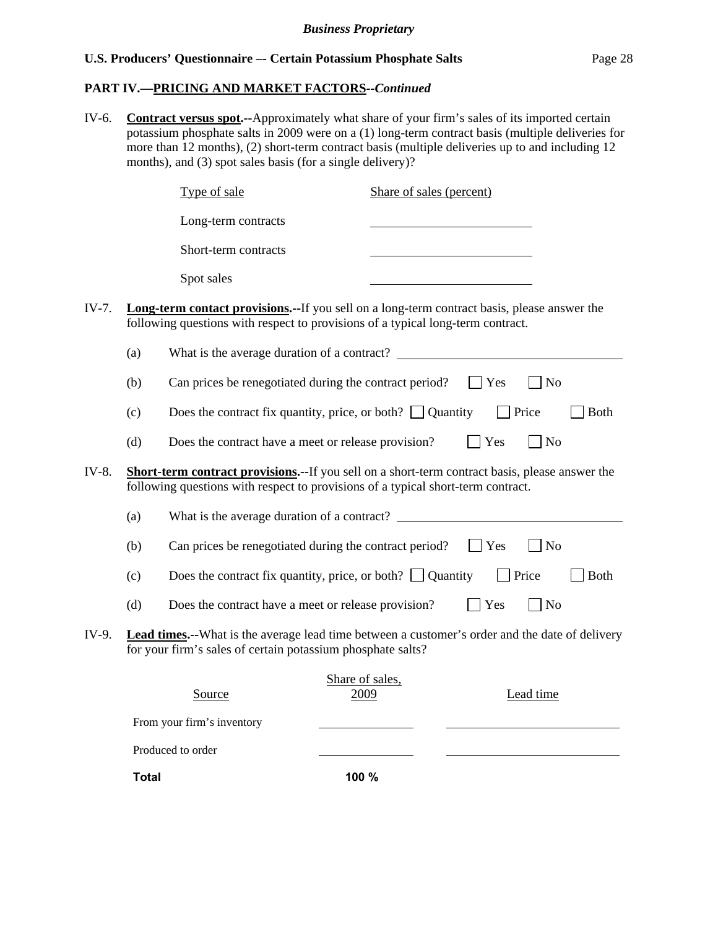## **PART IV.—PRICING AND MARKET FACTORS***--Continued*

IV-6. **Contract versus spot.--**Approximately what share of your firm's sales of its imported certain potassium phosphate salts in 2009 were on a (1) long-term contract basis (multiple deliveries for more than 12 months), (2) short-term contract basis (multiple deliveries up to and including 12 months), and (3) spot sales basis (for a single delivery)?

|       |     | Type of sale                                                                                                                                                                               | Share of sales (percent) |             |                             |             |
|-------|-----|--------------------------------------------------------------------------------------------------------------------------------------------------------------------------------------------|--------------------------|-------------|-----------------------------|-------------|
|       |     | Long-term contracts                                                                                                                                                                        |                          |             |                             |             |
|       |     | Short-term contracts                                                                                                                                                                       |                          |             |                             |             |
|       |     | Spot sales                                                                                                                                                                                 |                          |             |                             |             |
| IV-7. |     | <b>Long-term contact provisions.</b> --If you sell on a long-term contract basis, please answer the<br>following questions with respect to provisions of a typical long-term contract.     |                          |             |                             |             |
|       | (a) |                                                                                                                                                                                            |                          |             |                             |             |
|       | (b) | Can prices be renegotiated during the contract period?                                                                                                                                     |                          | $\vert$ Yes | N <sub>o</sub>              |             |
|       | (c) | Does the contract fix quantity, price, or both? $\Box$ Quantity                                                                                                                            |                          |             | Price                       | <b>Both</b> |
|       | (d) | Does the contract have a meet or release provision?                                                                                                                                        |                          | Yes         | $\n  o$                     |             |
| IV-8. |     | <b>Short-term contract provisions.--</b> If you sell on a short-term contract basis, please answer the<br>following questions with respect to provisions of a typical short-term contract. |                          |             |                             |             |
|       | (a) | What is the average duration of a contract?                                                                                                                                                |                          |             |                             |             |
|       | (b) | Can prices be renegotiated during the contract period?                                                                                                                                     |                          | <b>Yes</b>  | $\overline{\phantom{a}}$ No |             |
|       | (c) | Does the contract fix quantity, price, or both? $\Box$ Quantity                                                                                                                            |                          | Price       |                             | <b>Both</b> |
|       | (d) | Does the contract have a meet or release provision?                                                                                                                                        |                          | Yes         | N <sub>o</sub>              |             |
| IV-9. |     | <b>Lead times.</b> --What is the average lead time between a customer's order and the date of delivery<br>for your firm's sales of certain potassium phosphate salts?                      |                          |             |                             |             |
|       |     | Source                                                                                                                                                                                     | Share of sales,<br>2009  |             | Lead time                   |             |
|       |     | From your firm's inventory                                                                                                                                                                 |                          |             |                             |             |
|       |     | Produced to order                                                                                                                                                                          |                          |             |                             |             |

**Total 100 %**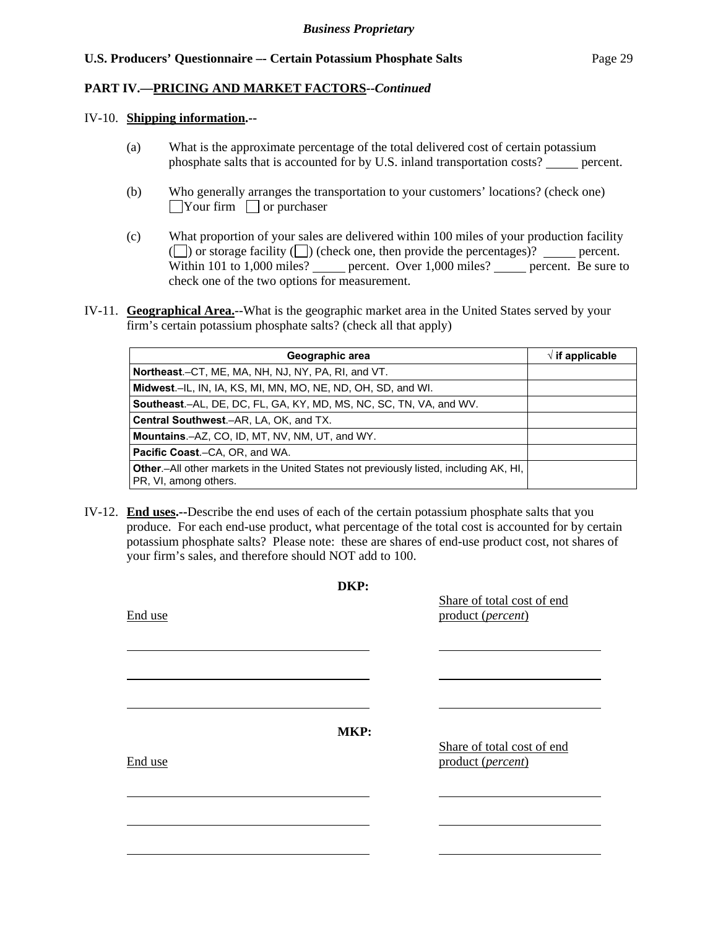## **PART IV.—PRICING AND MARKET FACTORS***--Continued*

#### IV-10. **Shipping information.--**

- (a) What is the approximate percentage of the total delivered cost of certain potassium phosphate salts that is accounted for by U.S. inland transportation costs? percent.
- (b) Who generally arranges the transportation to your customers' locations? (check one)  $\Box$ Your firm  $\Box$  or purchaser
- (c) What proportion of your sales are delivered within 100 miles of your production facility ( $\Box$ ) or storage facility  $\Box$ ) (check one, then provide the percentages)? percent. Within 101 to 1,000 miles? percent. Over 1,000 miles? percent. Be sure to check one of the two options for measurement.
- IV-11. **Geographical Area.**--What is the geographic market area in the United States served by your firm's certain potassium phosphate salts? (check all that apply)

| Geographic area                                                                                                         | $\sqrt{ }$ if applicable |
|-------------------------------------------------------------------------------------------------------------------------|--------------------------|
| Northeast.–CT, ME, MA, NH, NJ, NY, PA, RI, and VT.                                                                      |                          |
| Midwest.–IL, IN, IA, KS, MI, MN, MO, NE, ND, OH, SD, and WI.                                                            |                          |
| <b>Southeast</b> .–AL, DE, DC, FL, GA, KY, MD, MS, NC, SC, TN, VA, and WV.                                              |                          |
| Central Southwest.-AR, LA, OK, and TX.                                                                                  |                          |
| Mountains.–AZ, CO, ID, MT, NV, NM, UT, and WY.                                                                          |                          |
| <b>Pacific Coast.-CA, OR, and WA.</b>                                                                                   |                          |
| <b>Other</b> .—All other markets in the United States not previously listed, including AK, HI,<br>PR, VI, among others. |                          |

IV-12. **End uses.--**Describe the end uses of each of the certain potassium phosphate salts that you produce. For each end-use product, what percentage of the total cost is accounted for by certain potassium phosphate salts? Please note: these are shares of end-use product cost, not shares of your firm's sales, and therefore should NOT add to 100.

|         | DKP: |                                                 |
|---------|------|-------------------------------------------------|
| End use |      | Share of total cost of end<br>product (percent) |
|         |      |                                                 |
|         |      |                                                 |
| End use | MKP: | Share of total cost of end<br>product (percent) |
|         |      |                                                 |
|         |      |                                                 |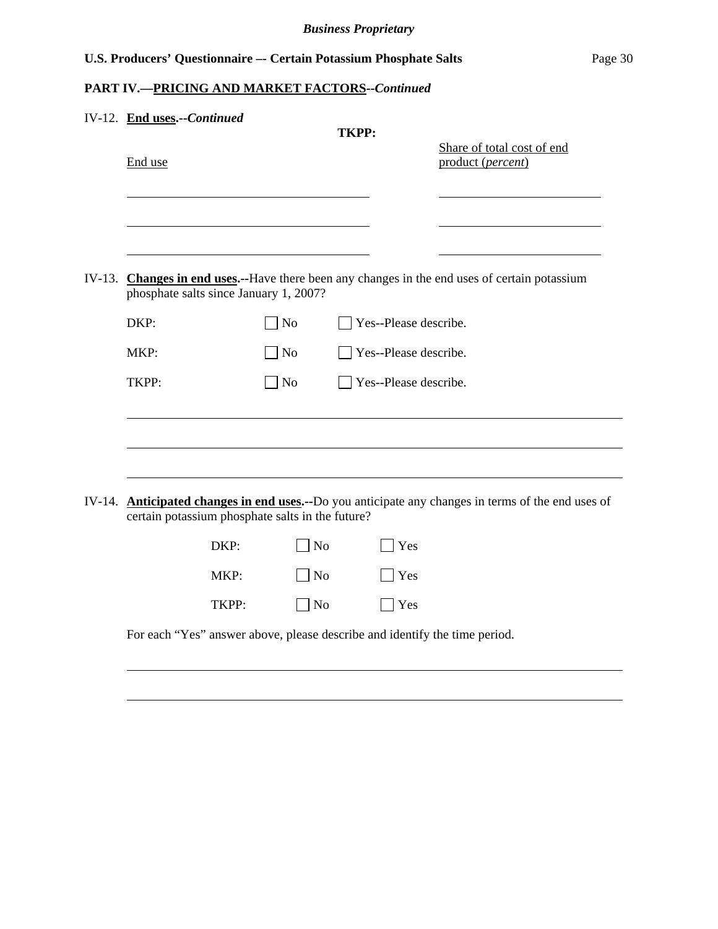# **PART IV.—PRICING AND MARKET FACTORS***--Continued*

l

| IV-12. End uses .-- Continued                                              |                |                       |                                                                                                            |
|----------------------------------------------------------------------------|----------------|-----------------------|------------------------------------------------------------------------------------------------------------|
| End use                                                                    |                | <b>TKPP:</b>          | Share of total cost of end<br>product (percent)                                                            |
|                                                                            |                |                       |                                                                                                            |
| phosphate salts since January 1, 2007?                                     |                |                       | IV-13. Changes in end uses.--Have there been any changes in the end uses of certain potassium              |
| DKP:                                                                       | No             | Yes--Please describe. |                                                                                                            |
| MKP:                                                                       | $\Box$ No      | Yes--Please describe. |                                                                                                            |
| TKPP:                                                                      | $\overline{N}$ | Yes--Please describe. |                                                                                                            |
|                                                                            |                |                       |                                                                                                            |
|                                                                            |                |                       |                                                                                                            |
| certain potassium phosphate salts in the future?                           |                |                       | IV-14. <b>Anticipated changes in end uses.--</b> Do you anticipate any changes in terms of the end uses of |
| DKP:                                                                       | N <sub>o</sub> | Yes                   |                                                                                                            |
| MKP:                                                                       | N <sub>o</sub> | Yes                   |                                                                                                            |
| TKPP:                                                                      | N <sub>o</sub> | Yes                   |                                                                                                            |
| For each "Yes" answer above, please describe and identify the time period. |                |                       |                                                                                                            |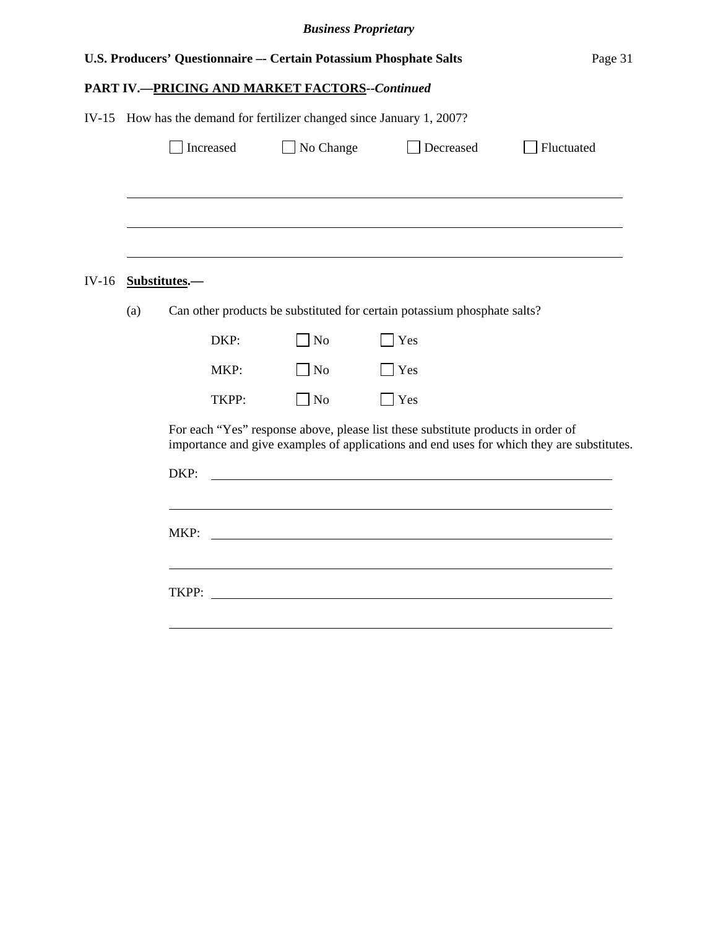|         |                                                                        |               |           | U.S. Producers' Questionnaire -- Certain Potassium Phosphate Salts                                                                                                                                        |               |           | Page 31                                                                                   |  |
|---------|------------------------------------------------------------------------|---------------|-----------|-----------------------------------------------------------------------------------------------------------------------------------------------------------------------------------------------------------|---------------|-----------|-------------------------------------------------------------------------------------------|--|
|         |                                                                        |               |           | <b>PART IV.-PRICING AND MARKET FACTORS--Continued</b>                                                                                                                                                     |               |           |                                                                                           |  |
|         | IV-15 How has the demand for fertilizer changed since January 1, 2007? |               |           |                                                                                                                                                                                                           |               |           |                                                                                           |  |
|         |                                                                        |               | Increased | No Change                                                                                                                                                                                                 |               | Decreased | Fluctuated                                                                                |  |
|         |                                                                        |               |           |                                                                                                                                                                                                           |               |           |                                                                                           |  |
| $IV-16$ |                                                                        | Substitutes.- |           |                                                                                                                                                                                                           |               |           |                                                                                           |  |
|         | (a)                                                                    |               |           | Can other products be substituted for certain potassium phosphate salts?                                                                                                                                  |               |           |                                                                                           |  |
|         |                                                                        |               | DKP:      | <b>No</b>                                                                                                                                                                                                 | Yes           |           |                                                                                           |  |
|         |                                                                        |               | MKP:      | N <sub>o</sub>                                                                                                                                                                                            | Yes           |           |                                                                                           |  |
|         |                                                                        |               | TKPP:     | ] No                                                                                                                                                                                                      | $\exists$ Yes |           |                                                                                           |  |
|         |                                                                        | DKP:          |           | For each "Yes" response above, please list these substitute products in order of<br><u> 1989 - Johann Stoff, deutscher Stoffen und der Stoffen und der Stoffen und der Stoffen und der Stoffen und de</u> |               |           | importance and give examples of applications and end uses for which they are substitutes. |  |
|         |                                                                        | MKP:          |           |                                                                                                                                                                                                           |               |           |                                                                                           |  |
|         |                                                                        |               |           |                                                                                                                                                                                                           |               |           |                                                                                           |  |
|         |                                                                        |               |           |                                                                                                                                                                                                           |               |           |                                                                                           |  |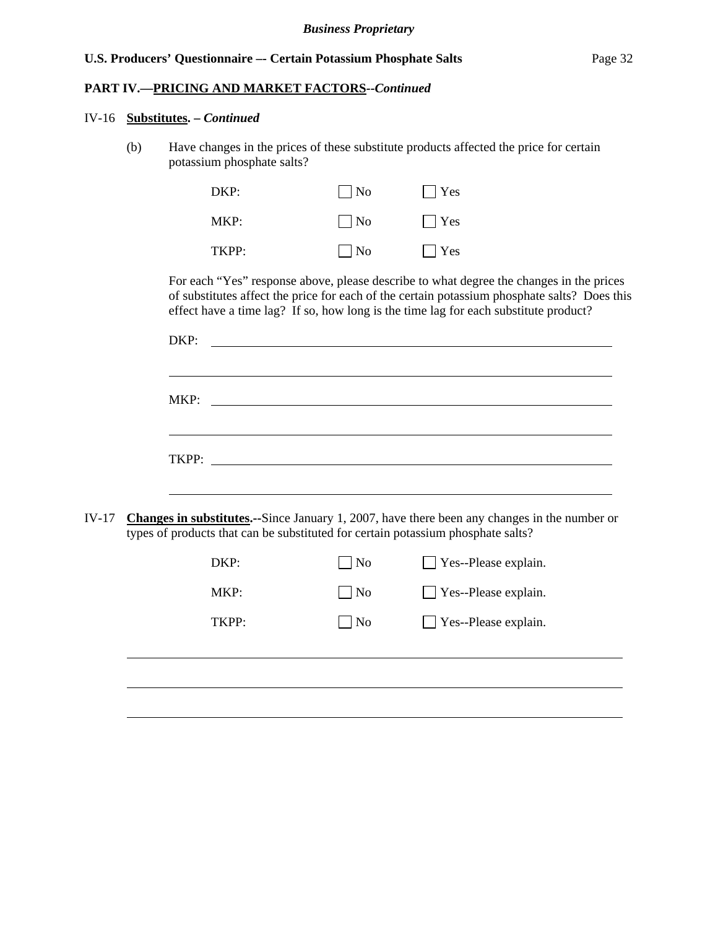## **PART IV.—PRICING AND MARKET FACTORS***--Continued*

#### IV-16 **Substitutes. –** *Continued*

(b) Have changes in the prices of these substitute products affected the price for certain potassium phosphate salts?

| DKP:  | $\Box$ No  | $\Box$ Yes |
|-------|------------|------------|
| MKP:  | $\Box$ No  | $\Box$ Yes |
| TKPP: | $\vert$ No | $\Box$ Yes |

For each "Yes" response above, please describe to what degree the changes in the prices of substitutes affect the price for each of the certain potassium phosphate salts? Does this effect have a time lag? If so, how long is the time lag for each substitute product?

|         | DKP:                                                                             |                |                                                                                                      |
|---------|----------------------------------------------------------------------------------|----------------|------------------------------------------------------------------------------------------------------|
|         | MKP:                                                                             |                | <u> 1980 - Johann Barnett, fransk politik (d. 1980)</u>                                              |
|         |                                                                                  |                |                                                                                                      |
| $IV-17$ | types of products that can be substituted for certain potassium phosphate salts? |                | <b>Changes in substitutes.</b> --Since January 1, 2007, have there been any changes in the number or |
|         | DKP:                                                                             | $\Box$ No      | Yes--Please explain.                                                                                 |
|         | MKP:                                                                             | $\Box$ No      | Yes--Please explain.                                                                                 |
|         | TKPP:                                                                            | $\overline{N}$ | Yes--Please explain.                                                                                 |
|         |                                                                                  |                |                                                                                                      |
|         |                                                                                  |                |                                                                                                      |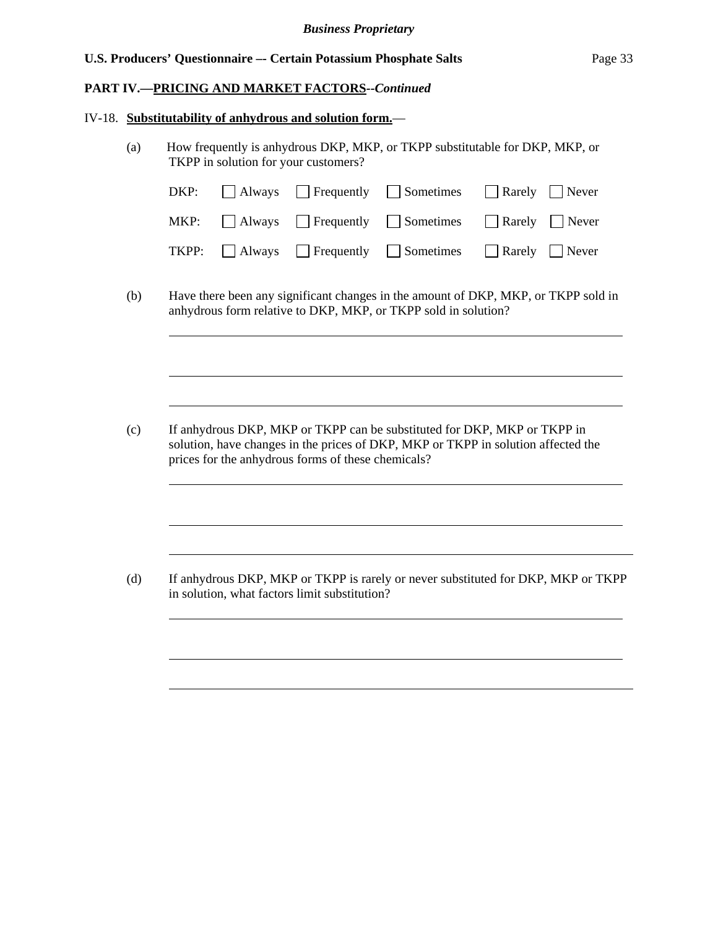## **PART IV.—PRICING AND MARKET FACTORS***--Continued*

#### IV-18. **Substitutability of anhydrous and solution form.**—

 $\overline{a}$ 

 $\overline{a}$ 

 $\overline{a}$ 

(a) How frequently is anhydrous DKP, MKP, or TKPP substitutable for DKP, MKP, or TKPP in solution for your customers?

|  |  | $DKP:$ Always Frequently Sometimes Rarely Never                                          |
|--|--|------------------------------------------------------------------------------------------|
|  |  | MKP: $\Box$ Always $\Box$ Frequently $\Box$ Sometimes $\Box$ Rarely $\Box$ Never         |
|  |  | <b>TKPP:</b> $\Box$ Always $\Box$ Frequently $\Box$ Sometimes $\Box$ Rarely $\Box$ Never |

(b) Have there been any significant changes in the amount of DKP, MKP, or TKPP sold in anhydrous form relative to DKP, MKP, or TKPP sold in solution?

(c) If anhydrous DKP, MKP or TKPP can be substituted for DKP, MKP or TKPP in solution, have changes in the prices of DKP, MKP or TKPP in solution affected the prices for the anhydrous forms of these chemicals?

(d) If anhydrous DKP, MKP or TKPP is rarely or never substituted for DKP, MKP or TKPP in solution, what factors limit substitution?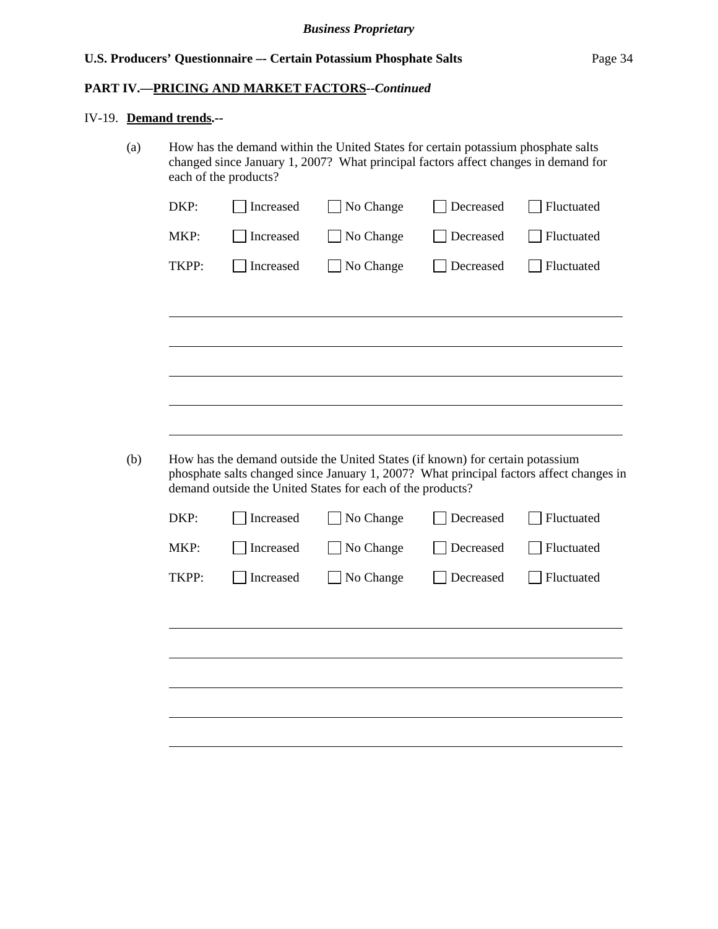## **PART IV.—PRICING AND MARKET FACTORS***--Continued*

#### IV-19. **Demand trends.--**

(a) How has the demand within the United States for certain potassium phosphate salts changed since January 1, 2007? What principal factors affect changes in demand for each of the products?

| MKP:  | Increased | No Change                                                  | Decreased | Fluctuated                             |
|-------|-----------|------------------------------------------------------------|-----------|----------------------------------------|
|       | Increased | No Change                                                  | Decreased | Fluctuated                             |
| TKPP: | Increased | No Change                                                  | Decreased | Fluctuated                             |
|       |           |                                                            |           |                                        |
|       |           |                                                            |           |                                        |
|       |           |                                                            |           |                                        |
|       |           |                                                            |           |                                        |
|       |           |                                                            |           |                                        |
|       |           | demand outside the United States for each of the products? |           |                                        |
| DKP:  | Increased | No Change                                                  | Decreased |                                        |
| MKP:  | Increased | No Change                                                  | Decreased |                                        |
| TKPP: | Increased | No Change                                                  | Decreased |                                        |
|       |           |                                                            |           | Fluctuated<br>Fluctuated<br>Fluctuated |
|       |           |                                                            |           |                                        |
|       |           |                                                            |           |                                        |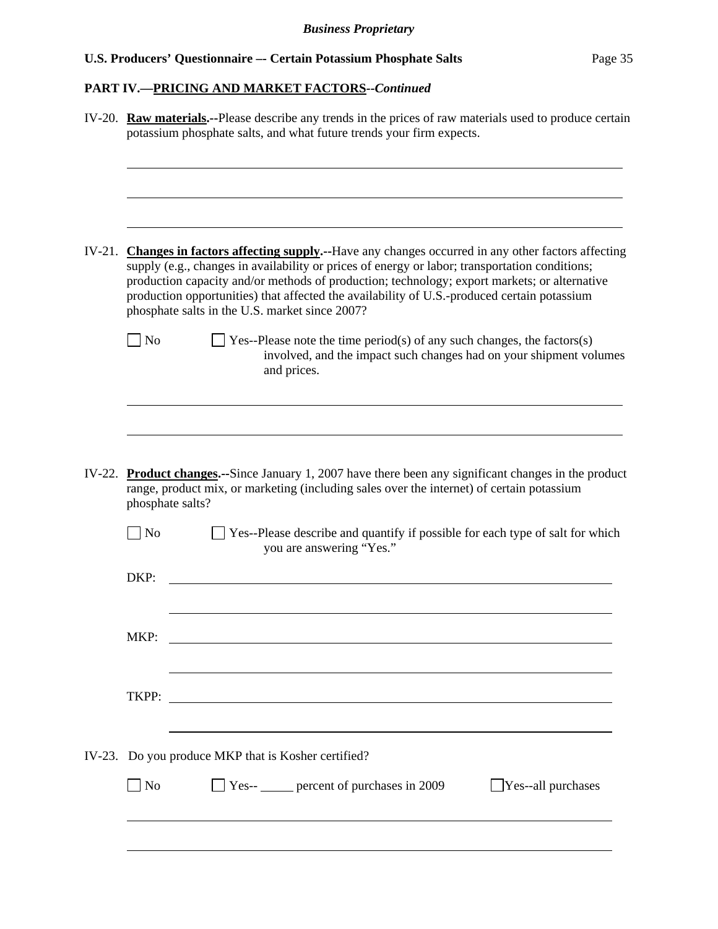# **PART IV.—PRICING AND MARKET FACTORS***--Continued*

|                   | IV-20. Raw materials.--Please describe any trends in the prices of raw materials used to produce certain<br>potassium phosphate salts, and what future trends your firm expects.                                                                                                                                                                                                                                                                         |
|-------------------|----------------------------------------------------------------------------------------------------------------------------------------------------------------------------------------------------------------------------------------------------------------------------------------------------------------------------------------------------------------------------------------------------------------------------------------------------------|
|                   |                                                                                                                                                                                                                                                                                                                                                                                                                                                          |
|                   | IV-21. Changes in factors affecting supply.--Have any changes occurred in any other factors affecting<br>supply (e.g., changes in availability or prices of energy or labor; transportation conditions;<br>production capacity and/or methods of production; technology; export markets; or alternative<br>production opportunities) that affected the availability of U.S.-produced certain potassium<br>phosphate salts in the U.S. market since 2007? |
| $\blacksquare$ No | $\Box$ Yes--Please note the time period(s) of any such changes, the factors(s)<br>involved, and the impact such changes had on your shipment volumes<br>and prices.                                                                                                                                                                                                                                                                                      |
|                   | IV-22. Product changes.--Since January 1, 2007 have there been any significant changes in the product<br>range, product mix, or marketing (including sales over the internet) of certain potassium<br>phosphate salts?                                                                                                                                                                                                                                   |
| $\Box$ No         | Yes--Please describe and quantify if possible for each type of salt for which<br>you are answering "Yes."                                                                                                                                                                                                                                                                                                                                                |
| DKP:              |                                                                                                                                                                                                                                                                                                                                                                                                                                                          |
| MKP:              |                                                                                                                                                                                                                                                                                                                                                                                                                                                          |
| TKPP:             | <u> 1989 - Johann Barbara, martin amerikan basal dan berasal dan berasal dalam basal dalam basal dalam basal dala</u>                                                                                                                                                                                                                                                                                                                                    |
|                   | IV-23. Do you produce MKP that is Kosher certified?                                                                                                                                                                                                                                                                                                                                                                                                      |
| $\blacksquare$ No | $\Box$ Yes-- percent of purchases in 2009<br>$\Box$ Yes--all purchases                                                                                                                                                                                                                                                                                                                                                                                   |
|                   |                                                                                                                                                                                                                                                                                                                                                                                                                                                          |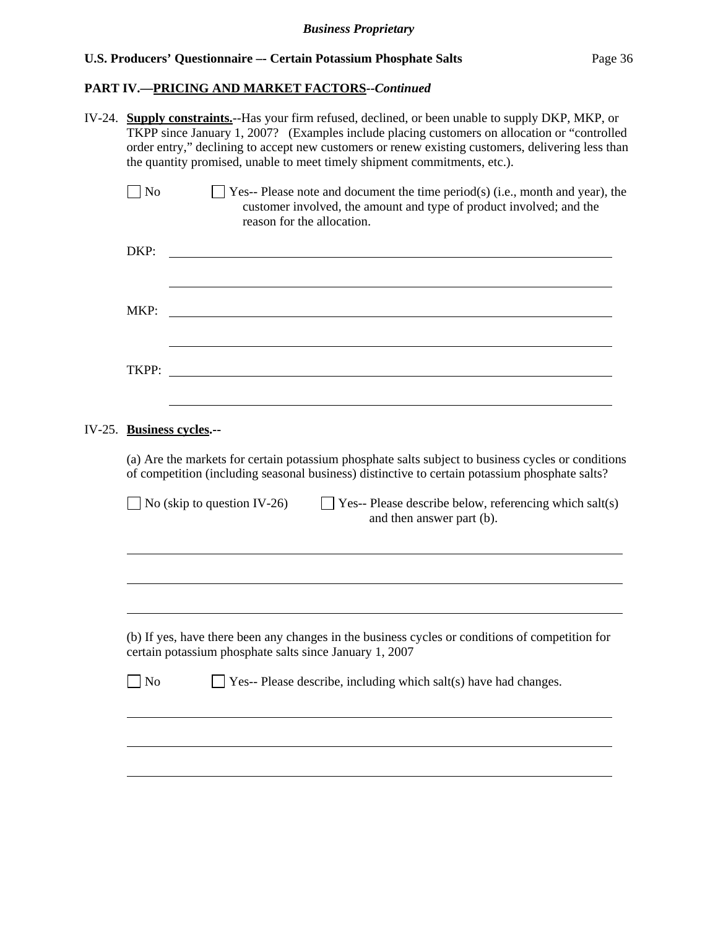## **PART IV.—PRICING AND MARKET FACTORS***--Continued*

| IV-24. | <b>Supply constraints.</b> --Has your firm refused, declined, or been unable to supply DKP, MKP, or<br>TKPP since January 1, 2007? (Examples include placing customers on allocation or "controlled"<br>order entry," declining to accept new customers or renew existing customers, delivering less than<br>the quantity promised, unable to meet timely shipment commitments, etc.). |                                                                                                                                                                                                      |  |  |  |  |
|--------|----------------------------------------------------------------------------------------------------------------------------------------------------------------------------------------------------------------------------------------------------------------------------------------------------------------------------------------------------------------------------------------|------------------------------------------------------------------------------------------------------------------------------------------------------------------------------------------------------|--|--|--|--|
|        | No                                                                                                                                                                                                                                                                                                                                                                                     | $\Box$ Yes-- Please note and document the time period(s) (i.e., month and year), the<br>customer involved, the amount and type of product involved; and the<br>reason for the allocation.            |  |  |  |  |
|        | DKP:                                                                                                                                                                                                                                                                                                                                                                                   |                                                                                                                                                                                                      |  |  |  |  |
|        | MKP:                                                                                                                                                                                                                                                                                                                                                                                   |                                                                                                                                                                                                      |  |  |  |  |
|        | TKPP:                                                                                                                                                                                                                                                                                                                                                                                  |                                                                                                                                                                                                      |  |  |  |  |
|        |                                                                                                                                                                                                                                                                                                                                                                                        | IV-25. Business cycles.--                                                                                                                                                                            |  |  |  |  |
|        |                                                                                                                                                                                                                                                                                                                                                                                        | (a) Are the markets for certain potassium phosphate salts subject to business cycles or conditions<br>of competition (including seasonal business) distinctive to certain potassium phosphate salts? |  |  |  |  |
|        |                                                                                                                                                                                                                                                                                                                                                                                        | Yes-- Please describe below, referencing which salt(s)<br>No (skip to question IV-26)<br>and then answer part (b).                                                                                   |  |  |  |  |
|        |                                                                                                                                                                                                                                                                                                                                                                                        |                                                                                                                                                                                                      |  |  |  |  |
|        |                                                                                                                                                                                                                                                                                                                                                                                        | (b) If yes, have there been any changes in the business cycles or conditions of competition for<br>certain potassium phosphate salts since January 1, 2007                                           |  |  |  |  |
|        | N <sub>o</sub>                                                                                                                                                                                                                                                                                                                                                                         | Yes-- Please describe, including which salt(s) have had changes.                                                                                                                                     |  |  |  |  |
|        |                                                                                                                                                                                                                                                                                                                                                                                        |                                                                                                                                                                                                      |  |  |  |  |
|        |                                                                                                                                                                                                                                                                                                                                                                                        |                                                                                                                                                                                                      |  |  |  |  |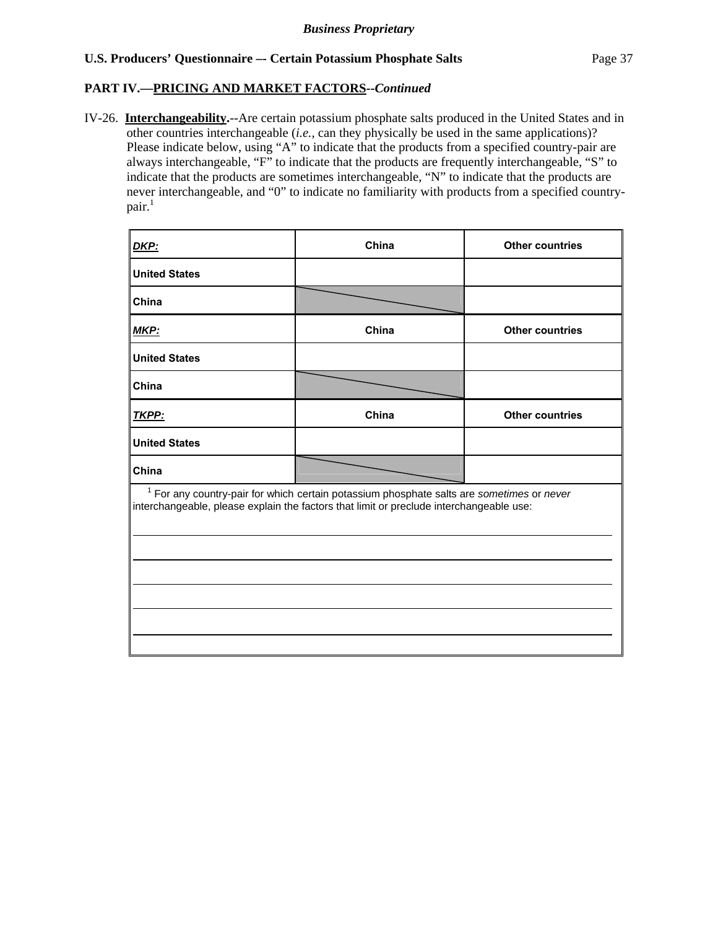## **PART IV.—PRICING AND MARKET FACTORS***--Continued*

IV-26. **Interchangeability.**--Are certain potassium phosphate salts produced in the United States and in other countries interchangeable (*i.e.*, can they physically be used in the same applications)? Please indicate below, using "A" to indicate that the products from a specified country-pair are always interchangeable, "F" to indicate that the products are frequently interchangeable, "S" to indicate that the products are sometimes interchangeable, "N" to indicate that the products are never interchangeable, and "0" to indicate no familiarity with products from a specified country $pair.<sup>1</sup>$ 

| China                                                                                                                                                                                  | <b>Other countries</b> |
|----------------------------------------------------------------------------------------------------------------------------------------------------------------------------------------|------------------------|
|                                                                                                                                                                                        |                        |
|                                                                                                                                                                                        |                        |
| China                                                                                                                                                                                  | <b>Other countries</b> |
|                                                                                                                                                                                        |                        |
|                                                                                                                                                                                        |                        |
| China                                                                                                                                                                                  | <b>Other countries</b> |
|                                                                                                                                                                                        |                        |
|                                                                                                                                                                                        |                        |
| $1$ For any country-pair for which certain potassium phosphate salts are sometimes or never<br>interchangeable, please explain the factors that limit or preclude interchangeable use: |                        |
|                                                                                                                                                                                        |                        |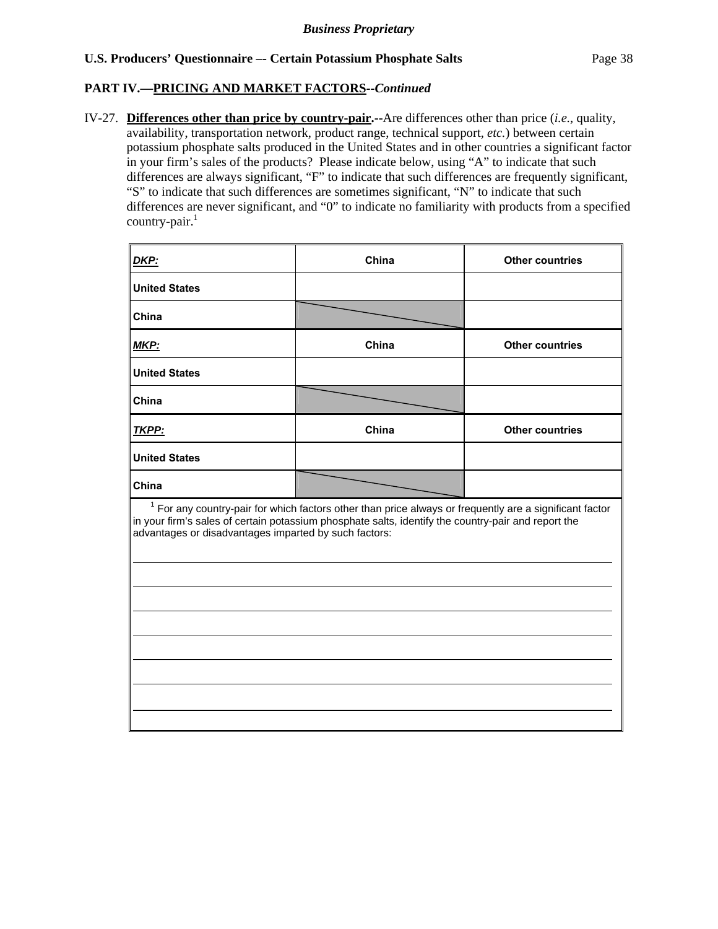## **PART IV.—PRICING AND MARKET FACTORS***--Continued*

 $\overline{a}$ 

 $\overline{a}$ 

 $\overline{a}$ 

IV-27. **Differences other than price by country-pair.--**Are differences other than price (*i.e.*, quality, availability, transportation network, product range, technical support, *etc.*) between certain potassium phosphate salts produced in the United States and in other countries a significant factor in your firm's sales of the products? Please indicate below, using "A" to indicate that such differences are always significant, "F" to indicate that such differences are frequently significant, "S" to indicate that such differences are sometimes significant, "N" to indicate that such differences are never significant, and "0" to indicate no familiarity with products from a specified country-pair. $1$ 

| <b>DKP:</b>                                                                                                                                                                                                                                                               | China | <b>Other countries</b> |  |  |
|---------------------------------------------------------------------------------------------------------------------------------------------------------------------------------------------------------------------------------------------------------------------------|-------|------------------------|--|--|
| <b>United States</b>                                                                                                                                                                                                                                                      |       |                        |  |  |
| China                                                                                                                                                                                                                                                                     |       |                        |  |  |
| <u>MKP:</u>                                                                                                                                                                                                                                                               | China | <b>Other countries</b> |  |  |
| <b>United States</b>                                                                                                                                                                                                                                                      |       |                        |  |  |
| China                                                                                                                                                                                                                                                                     |       |                        |  |  |
| TKPP:                                                                                                                                                                                                                                                                     | China | <b>Other countries</b> |  |  |
| <b>United States</b>                                                                                                                                                                                                                                                      |       |                        |  |  |
| China                                                                                                                                                                                                                                                                     |       |                        |  |  |
| $1$ For any country-pair for which factors other than price always or frequently are a significant factor<br>in your firm's sales of certain potassium phosphate salts, identify the country-pair and report the<br>advantages or disadvantages imparted by such factors: |       |                        |  |  |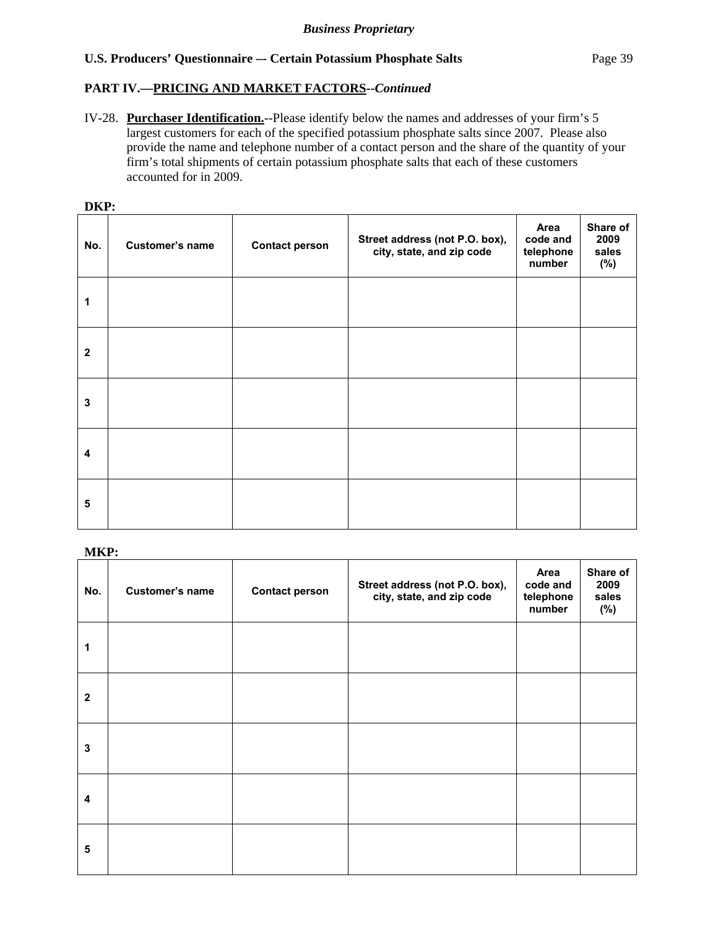## **PART IV.—PRICING AND MARKET FACTORS***--Continued*

IV-28. **Purchaser Identification.**--Please identify below the names and addresses of your firm's 5 largest customers for each of the specified potassium phosphate salts since 2007. Please also provide the name and telephone number of a contact person and the share of the quantity of your firm's total shipments of certain potassium phosphate salts that each of these customers accounted for in 2009.

| DKP:         |                 |                       |                                                             |                                         |                                  |
|--------------|-----------------|-----------------------|-------------------------------------------------------------|-----------------------------------------|----------------------------------|
| No.          | Customer's name | <b>Contact person</b> | Street address (not P.O. box),<br>city, state, and zip code | Area<br>code and<br>telephone<br>number | Share of<br>2009<br>sales<br>(%) |
| 1            |                 |                       |                                                             |                                         |                                  |
| $\mathbf{2}$ |                 |                       |                                                             |                                         |                                  |
| 3            |                 |                       |                                                             |                                         |                                  |
| 4            |                 |                       |                                                             |                                         |                                  |
| 5            |                 |                       |                                                             |                                         |                                  |

**MKP:** 

| No.                     | Customer's name | <b>Contact person</b> | Street address (not P.O. box),<br>city, state, and zip code | Area<br>code and<br>telephone<br>number | Share of<br>2009<br>sales<br>(%) |
|-------------------------|-----------------|-----------------------|-------------------------------------------------------------|-----------------------------------------|----------------------------------|
| 1                       |                 |                       |                                                             |                                         |                                  |
| $\mathbf{2}$            |                 |                       |                                                             |                                         |                                  |
| 3                       |                 |                       |                                                             |                                         |                                  |
| $\overline{\mathbf{4}}$ |                 |                       |                                                             |                                         |                                  |
| 5                       |                 |                       |                                                             |                                         |                                  |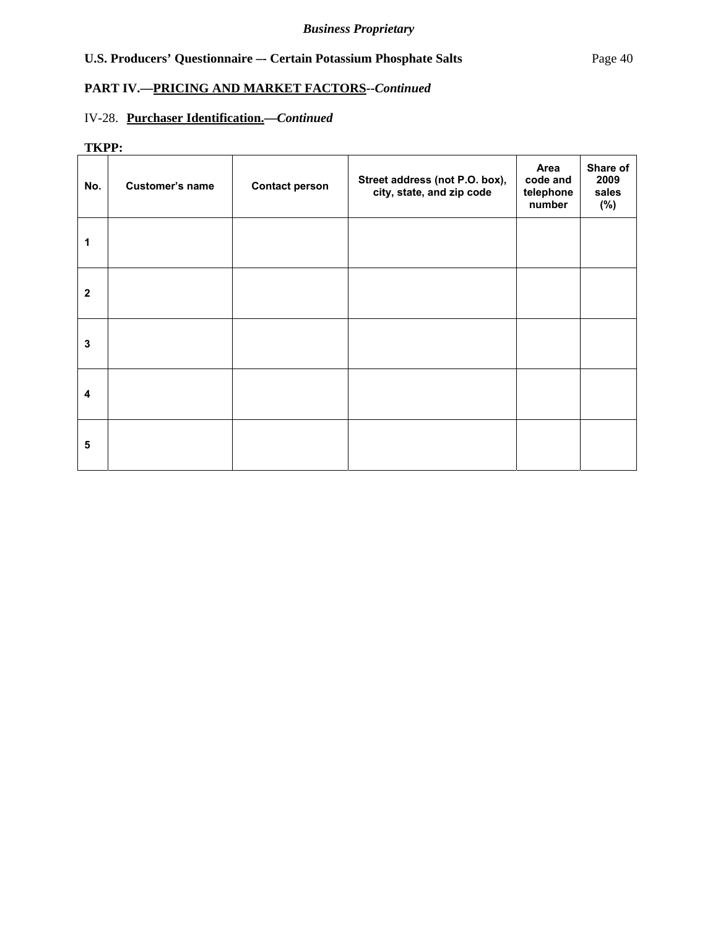## **PART IV.—PRICING AND MARKET FACTORS***--Continued*

# IV-28. **Purchaser Identification.—***Continued*

## **TKPP:**

| INFF:        |                        |                       |                                                             |                                         |                                  |
|--------------|------------------------|-----------------------|-------------------------------------------------------------|-----------------------------------------|----------------------------------|
| No.          | <b>Customer's name</b> | <b>Contact person</b> | Street address (not P.O. box),<br>city, state, and zip code | Area<br>code and<br>telephone<br>number | Share of<br>2009<br>sales<br>(%) |
| 1            |                        |                       |                                                             |                                         |                                  |
| $\mathbf{2}$ |                        |                       |                                                             |                                         |                                  |
| 3            |                        |                       |                                                             |                                         |                                  |
| 4            |                        |                       |                                                             |                                         |                                  |
| 5            |                        |                       |                                                             |                                         |                                  |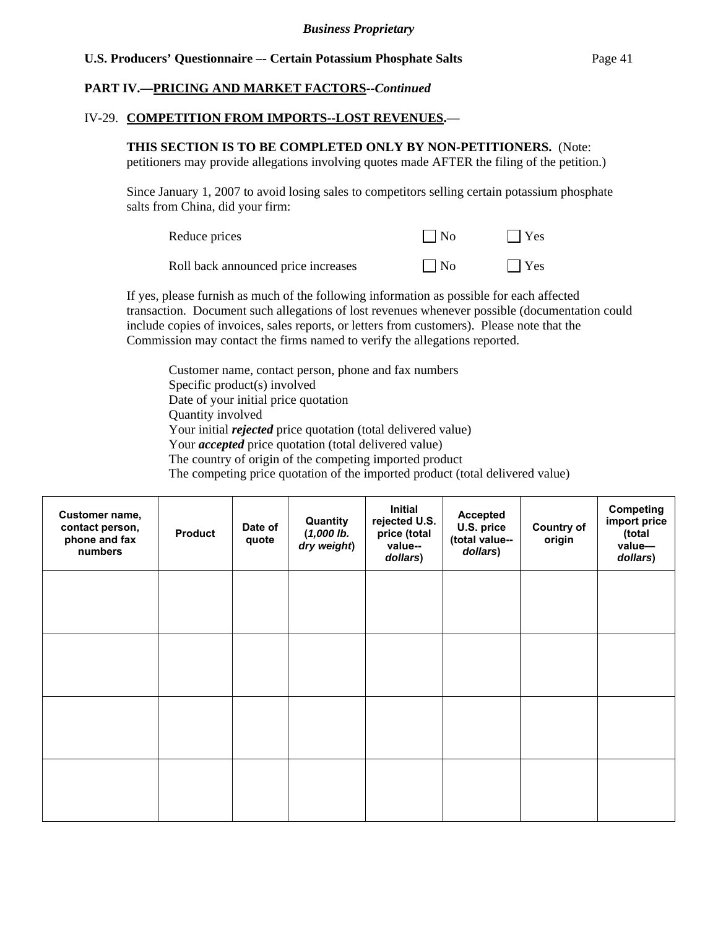## **PART IV.—PRICING AND MARKET FACTORS***--Continued*

#### IV-29. **COMPETITION FROM IMPORTS--LOST REVENUES.**—

## **THIS SECTION IS TO BE COMPLETED ONLY BY NON-PETITIONERS.** (Note:

petitioners may provide allegations involving quotes made AFTER the filing of the petition.)

Since January 1, 2007 to avoid losing sales to competitors selling certain potassium phosphate salts from China, did your firm:

| Reduce prices                       | $\vert$ No | $  \nvert$ Yes |
|-------------------------------------|------------|----------------|
| Roll back announced price increases | $\Box$ No  | $\Box$ Yes     |

If yes, please furnish as much of the following information as possible for each affected transaction. Document such allegations of lost revenues whenever possible (documentation could include copies of invoices, sales reports, or letters from customers). Please note that the Commission may contact the firms named to verify the allegations reported.

Customer name, contact person, phone and fax numbers Specific product(s) involved Date of your initial price quotation Quantity involved Your initial *rejected* price quotation (total delivered value) Your *accepted* price quotation (total delivered value) The country of origin of the competing imported product The competing price quotation of the imported product (total delivered value)

| Customer name,<br>contact person,<br>phone and fax<br>numbers | <b>Product</b> | Date of<br>quote | Quantity<br>$(1,000$ lb.<br>dry weight) | Initial<br>rejected U.S.<br>price (total<br>value--<br>dollars) | <b>Accepted</b><br>U.S. price<br>(total value--<br>dollars) | <b>Country of</b><br>origin | Competing<br>import price<br>(total<br>value-<br>dollars) |
|---------------------------------------------------------------|----------------|------------------|-----------------------------------------|-----------------------------------------------------------------|-------------------------------------------------------------|-----------------------------|-----------------------------------------------------------|
|                                                               |                |                  |                                         |                                                                 |                                                             |                             |                                                           |
|                                                               |                |                  |                                         |                                                                 |                                                             |                             |                                                           |
|                                                               |                |                  |                                         |                                                                 |                                                             |                             |                                                           |
|                                                               |                |                  |                                         |                                                                 |                                                             |                             |                                                           |